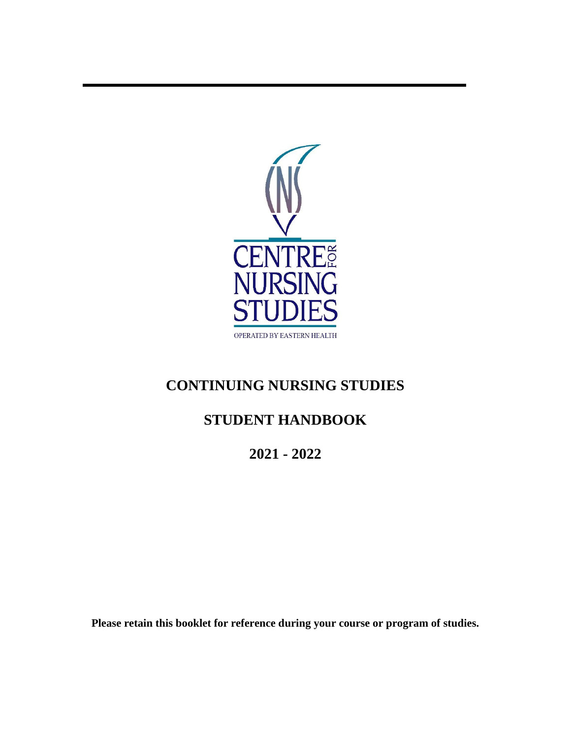

# **CONTINUING NURSING STUDIES**

# **STUDENT HANDBOOK**

**2021 - 2022**

**Please retain this booklet for reference during your course or program of studies.**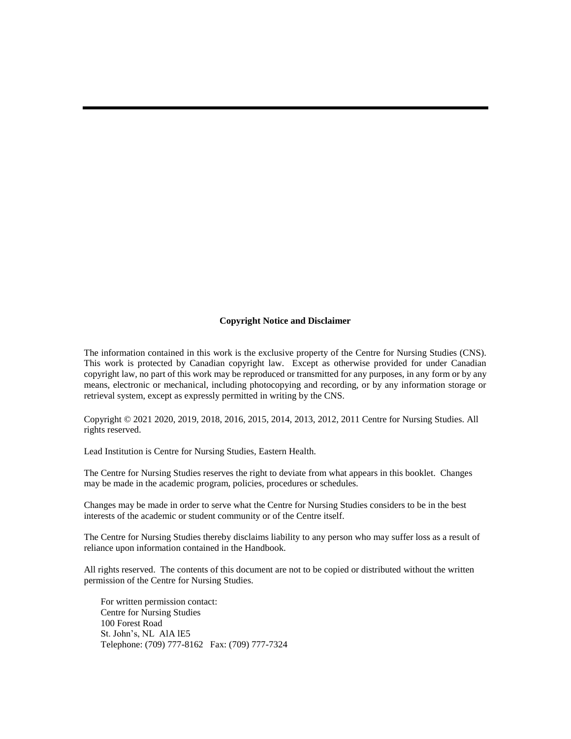#### **Copyright Notice and Disclaimer**

The information contained in this work is the exclusive property of the Centre for Nursing Studies (CNS). This work is protected by Canadian copyright law. Except as otherwise provided for under Canadian copyright law, no part of this work may be reproduced or transmitted for any purposes, in any form or by any means, electronic or mechanical, including photocopying and recording, or by any information storage or retrieval system, except as expressly permitted in writing by the CNS.

Copyright © 2021 2020, 2019, 2018, 2016, 2015, 2014, 2013, 2012, 2011 Centre for Nursing Studies. All rights reserved.

Lead Institution is Centre for Nursing Studies, Eastern Health.

The Centre for Nursing Studies reserves the right to deviate from what appears in this booklet. Changes may be made in the academic program, policies, procedures or schedules.

Changes may be made in order to serve what the Centre for Nursing Studies considers to be in the best interests of the academic or student community or of the Centre itself.

The Centre for Nursing Studies thereby disclaims liability to any person who may suffer loss as a result of reliance upon information contained in the Handbook.

All rights reserved. The contents of this document are not to be copied or distributed without the written permission of the Centre for Nursing Studies.

For written permission contact: Centre for Nursing Studies 100 Forest Road St. John's, NL AlA lE5 Telephone: (709) 777-8162 Fax: (709) 777-7324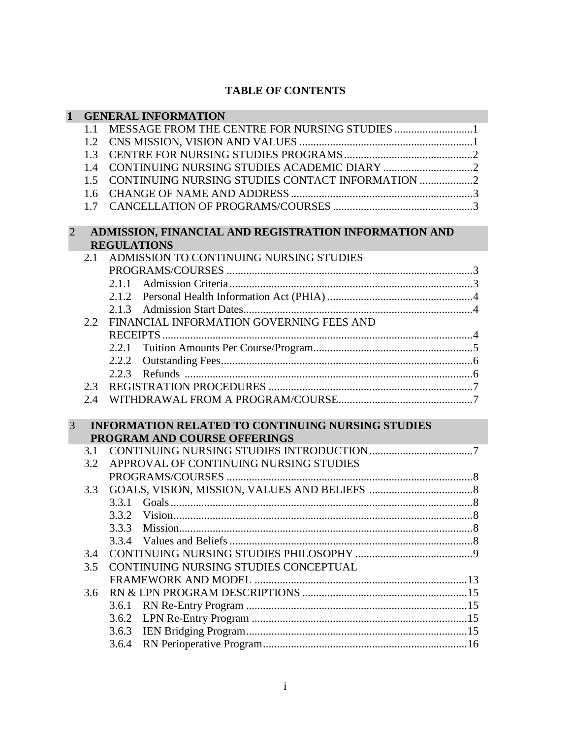# **TABLE OF CONTENTS**

| $\mathbf{1}$                                    |     | <b>GENERAL INFORMATION</b>                               |
|-------------------------------------------------|-----|----------------------------------------------------------|
|                                                 | 1.1 |                                                          |
|                                                 | 1.2 |                                                          |
|                                                 | 1.3 |                                                          |
|                                                 | 1.4 |                                                          |
|                                                 | 1.5 | CONTINUING NURSING STUDIES CONTACT INFORMATION 2         |
|                                                 | 1.6 |                                                          |
|                                                 | 1.7 |                                                          |
|                                                 |     |                                                          |
| 2                                               |     | ADMISSION, FINANCIAL AND REGISTRATION INFORMATION AND    |
|                                                 |     | <b>REGULATIONS</b>                                       |
|                                                 | 2.1 | ADMISSION TO CONTINUING NURSING STUDIES                  |
|                                                 |     |                                                          |
|                                                 |     | 2.1.1                                                    |
|                                                 |     | 2.1.2                                                    |
|                                                 |     | 2.1.3                                                    |
| FINANCIAL INFORMATION GOVERNING FEES AND<br>2.2 |     |                                                          |
|                                                 |     |                                                          |
|                                                 |     | 2.2.1                                                    |
|                                                 |     | 2.2.2                                                    |
|                                                 |     | 2.2.3                                                    |
|                                                 | 2.3 |                                                          |
|                                                 | 2.4 |                                                          |
|                                                 |     |                                                          |
| 3                                               |     | <b>INFORMATION RELATED TO CONTINUING NURSING STUDIES</b> |
|                                                 |     | PROGRAM AND COURSE OFFERINGS                             |
|                                                 | 3.1 |                                                          |
|                                                 | 3.2 | APPROVAL OF CONTINUING NURSING STUDIES                   |
|                                                 |     |                                                          |
|                                                 | 3.3 |                                                          |
|                                                 |     |                                                          |
|                                                 |     | 3.3.2                                                    |
|                                                 |     | 3.3.3 Mission.                                           |
|                                                 |     |                                                          |
|                                                 | 3.4 |                                                          |
|                                                 | 3.5 | CONTINUING NURSING STUDIES CONCEPTUAL                    |
|                                                 |     |                                                          |
|                                                 | 3.6 |                                                          |
|                                                 |     | 3.6.1                                                    |
|                                                 |     | 3.6.2                                                    |
|                                                 |     | 3.6.3                                                    |
|                                                 |     | 3.6.4                                                    |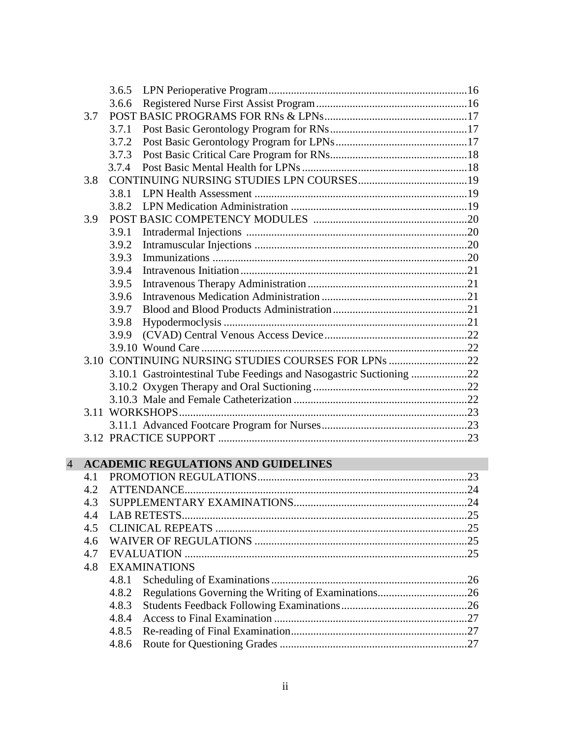|                          |     | 3.6.5                                                               |     |
|--------------------------|-----|---------------------------------------------------------------------|-----|
|                          |     | 3.6.6                                                               |     |
|                          | 3.7 |                                                                     |     |
|                          |     | 3.7.1                                                               |     |
|                          |     | 3.7.2                                                               |     |
|                          |     | 3.7.3                                                               |     |
|                          |     | 3.7.4                                                               |     |
|                          | 3.8 |                                                                     |     |
|                          |     | 3.8.1                                                               |     |
|                          |     | 3.8.2                                                               |     |
|                          | 3.9 |                                                                     |     |
|                          |     | 3.9.1                                                               |     |
|                          |     | 3.9.2                                                               |     |
|                          |     | 3.9.3                                                               |     |
|                          |     | 3.9.4                                                               |     |
|                          |     | 3.9.5                                                               |     |
|                          |     | 3.9.6                                                               |     |
|                          |     | 3.9.7                                                               |     |
|                          |     | 3.9.8                                                               |     |
|                          |     | 3.9.9                                                               |     |
|                          |     |                                                                     |     |
|                          |     | 3.10 CONTINUING NURSING STUDIES COURSES FOR LPNs 22                 |     |
|                          |     | 3.10.1 Gastrointestinal Tube Feedings and Nasogastric Suctioning 22 |     |
|                          |     |                                                                     |     |
|                          |     |                                                                     |     |
|                          |     |                                                                     |     |
|                          |     |                                                                     |     |
|                          |     |                                                                     |     |
|                          |     |                                                                     |     |
| $\overline{\mathcal{A}}$ |     | <b>ACADEMIC REGULATIONS AND GUIDELINES</b>                          |     |
|                          | 4.1 |                                                                     |     |
|                          | 4.2 |                                                                     |     |
|                          | 43  | SUPPLEMENTARY EXAMINATIONS                                          | .24 |
|                          | 4.4 |                                                                     |     |
|                          | 4.5 |                                                                     |     |
|                          | 4.6 |                                                                     |     |
|                          | 4.7 |                                                                     |     |
|                          | 4.8 | <b>EXAMINATIONS</b>                                                 |     |
|                          |     | 4.8.1                                                               |     |
|                          |     | 4.8.2                                                               |     |
|                          |     | 4.8.3                                                               |     |
|                          |     | 4.8.4                                                               |     |
|                          |     | 4.8.5                                                               |     |
|                          |     | 4.8.6                                                               |     |
|                          |     |                                                                     |     |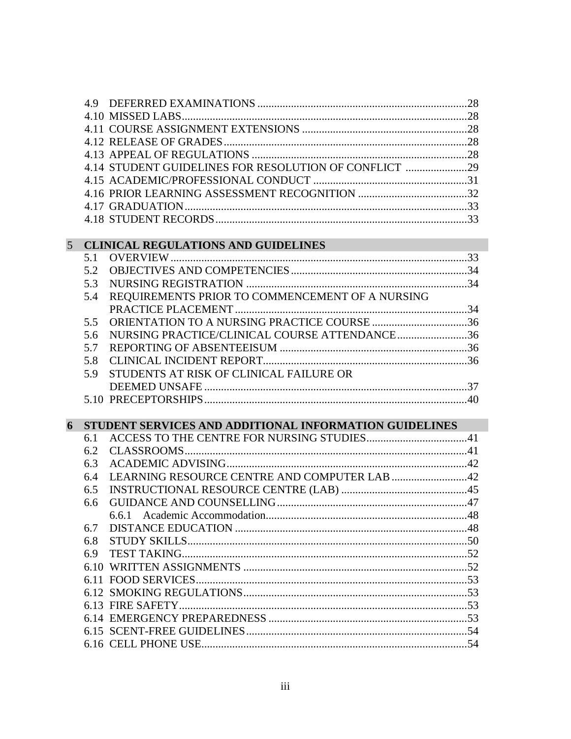|                |     | 4.14 STUDENT GUIDELINES FOR RESOLUTION OF CONFLICT 29  |  |
|----------------|-----|--------------------------------------------------------|--|
|                |     |                                                        |  |
|                |     |                                                        |  |
|                |     |                                                        |  |
|                |     |                                                        |  |
|                |     |                                                        |  |
| 5 <sup>5</sup> |     | <b>CLINICAL REGULATIONS AND GUIDELINES</b>             |  |
|                | 5.1 |                                                        |  |
|                | 5.2 |                                                        |  |
|                | 5.3 |                                                        |  |
|                | 5.4 | REQUIREMENTS PRIOR TO COMMENCEMENT OF A NURSING        |  |
|                |     |                                                        |  |
|                | 5.5 |                                                        |  |
|                | 5.6 | NURSING PRACTICE/CLINICAL COURSE ATTENDANCE36          |  |
|                | 5.7 |                                                        |  |
|                | 5.8 |                                                        |  |
|                | 5.9 | STUDENTS AT RISK OF CLINICAL FAILURE OR                |  |
|                |     |                                                        |  |
|                |     |                                                        |  |
| 6              |     | STUDENT SERVICES AND ADDITIONAL INFORMATION GUIDELINES |  |
|                | 6.1 |                                                        |  |
|                | 6.2 |                                                        |  |
|                | 6.3 |                                                        |  |
|                | 6.4 |                                                        |  |
|                | 6.5 |                                                        |  |
|                | 6.6 |                                                        |  |
|                |     | 6.6.1                                                  |  |
|                | 6.7 |                                                        |  |
|                | 6.8 |                                                        |  |
|                | 6.9 |                                                        |  |
|                |     |                                                        |  |
|                |     |                                                        |  |
|                |     |                                                        |  |
|                |     |                                                        |  |
|                |     |                                                        |  |
|                |     |                                                        |  |
|                |     |                                                        |  |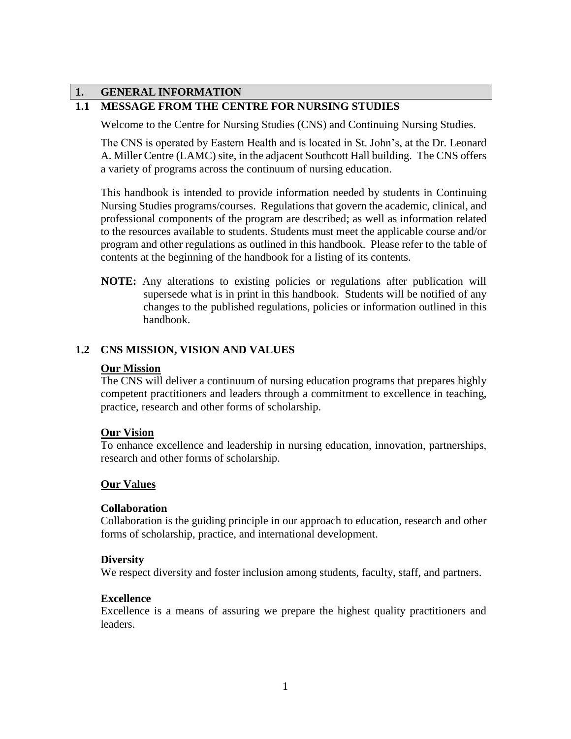# **1. GENERAL INFORMATION**

# **1.1 MESSAGE FROM THE CENTRE FOR NURSING STUDIES**

Welcome to the Centre for Nursing Studies (CNS) and Continuing Nursing Studies.

The CNS is operated by Eastern Health and is located in St. John's, at the Dr. Leonard A. Miller Centre (LAMC) site, in the adjacent Southcott Hall building. The CNS offers a variety of programs across the continuum of nursing education.

This handbook is intended to provide information needed by students in Continuing Nursing Studies programs/courses. Regulations that govern the academic, clinical, and professional components of the program are described; as well as information related to the resources available to students. Students must meet the applicable course and/or program and other regulations as outlined in this handbook. Please refer to the table of contents at the beginning of the handbook for a listing of its contents.

**NOTE:** Any alterations to existing policies or regulations after publication will supersede what is in print in this handbook. Students will be notified of any changes to the published regulations, policies or information outlined in this handbook.

# **1.2 CNS MISSION, VISION AND VALUES**

#### **Our Mission**

The CNS will deliver a continuum of nursing education programs that prepares highly competent practitioners and leaders through a commitment to excellence in teaching, practice, research and other forms of scholarship.

### **Our Vision**

To enhance excellence and leadership in nursing education, innovation, partnerships, research and other forms of scholarship.

### **Our Values**

### **Collaboration**

Collaboration is the guiding principle in our approach to education, research and other forms of scholarship, practice, and international development.

### **Diversity**

We respect diversity and foster inclusion among students, faculty, staff, and partners.

### **Excellence**

Excellence is a means of assuring we prepare the highest quality practitioners and leaders.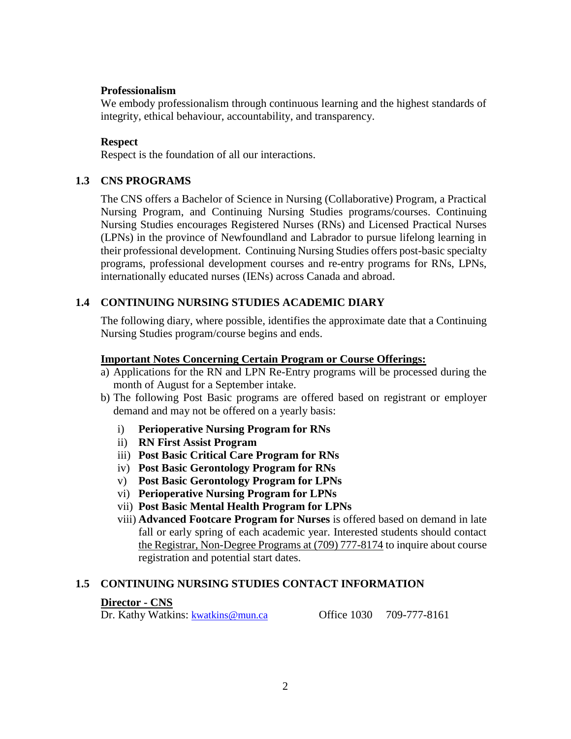### **Professionalism**

We embody professionalism through continuous learning and the highest standards of integrity, ethical behaviour, accountability, and transparency.

### **Respect**

Respect is the foundation of all our interactions.

### **1.3 CNS PROGRAMS**

The CNS offers a Bachelor of Science in Nursing (Collaborative) Program, a Practical Nursing Program, and Continuing Nursing Studies programs/courses. Continuing Nursing Studies encourages Registered Nurses (RNs) and Licensed Practical Nurses (LPNs) in the province of Newfoundland and Labrador to pursue lifelong learning in their professional development. Continuing Nursing Studies offers post-basic specialty programs, professional development courses and re-entry programs for RNs, LPNs, internationally educated nurses (IENs) across Canada and abroad.

# **1.4 CONTINUING NURSING STUDIES ACADEMIC DIARY**

The following diary, where possible, identifies the approximate date that a Continuing Nursing Studies program/course begins and ends.

### **Important Notes Concerning Certain Program or Course Offerings:**

- a) Applications for the RN and LPN Re-Entry programs will be processed during the month of August for a September intake.
- b) The following Post Basic programs are offered based on registrant or employer demand and may not be offered on a yearly basis:
	- i) **Perioperative Nursing Program for RNs**
	- ii) **RN First Assist Program**
	- iii) **Post Basic Critical Care Program for RNs**
	- iv) **Post Basic Gerontology Program for RNs**
	- v) **Post Basic Gerontology Program for LPNs**
	- vi) **Perioperative Nursing Program for LPNs**
	- vii) **Post Basic Mental Health Program for LPNs**
	- viii) **Advanced Footcare Program for Nurses** is offered based on demand in late fall or early spring of each academic year. Interested students should contact the Registrar, Non-Degree Programs at (709) 777-8174 to inquire about course registration and potential start dates.

### **1.5 CONTINUING NURSING STUDIES CONTACT INFORMATION**

### **Director - CNS**

Dr. Kathy Watkins: [kwatkins@mun.ca](mailto:kwatkins@mun.ca) Office 1030 709-777-8161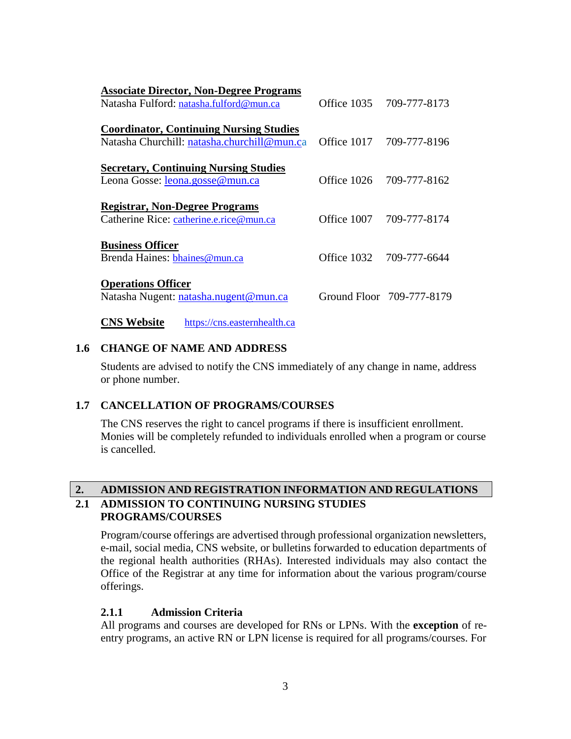| <b>Associate Director, Non-Degree Programs</b>                     |                           |
|--------------------------------------------------------------------|---------------------------|
| Natasha Fulford: natasha.fulford@mun.ca                            | Office 1035 709-777-8173  |
| <b>Coordinator, Continuing Nursing Studies</b>                     |                           |
| Natasha Churchill: natasha.churchill@mun.ca                        | Office 1017 709-777-8196  |
| <b>Secretary, Continuing Nursing Studies</b>                       |                           |
| Leona Gosse: leona.gosse@mun.ca                                    | Office 1026 709-777-8162  |
| <b>Registrar, Non-Degree Programs</b>                              |                           |
| Catherine Rice: catherine.e.rice@mun.ca                            | Office 1007 709-777-8174  |
|                                                                    |                           |
| <b>Business Officer</b><br>Brenda Haines: bhaines@mun.ca           | Office 1032 709-777-6644  |
|                                                                    |                           |
| <b>Operations Officer</b><br>Natasha Nugent: natasha.nugent@mun.ca | Ground Floor 709-777-8179 |
| <b>CNS Website</b><br>https://cns.easternhealth.ca                 |                           |

### **1.6 CHANGE OF NAME AND ADDRESS**

Students are advised to notify the CNS immediately of any change in name, address or phone number.

### **1.7 CANCELLATION OF PROGRAMS/COURSES**

The CNS reserves the right to cancel programs if there is insufficient enrollment. Monies will be completely refunded to individuals enrolled when a program or course is cancelled.

# **2. ADMISSION AND REGISTRATION INFORMATION AND REGULATIONS 2.1 ADMISSION TO CONTINUING NURSING STUDIES PROGRAMS/COURSES**

Program/course offerings are advertised through professional organization newsletters, e-mail, social media, CNS website, or bulletins forwarded to education departments of the regional health authorities (RHAs). Interested individuals may also contact the Office of the Registrar at any time for information about the various program/course offerings.

# **2.1.1 Admission Criteria**

All programs and courses are developed for RNs or LPNs. With the **exception** of reentry programs, an active RN or LPN license is required for all programs/courses. For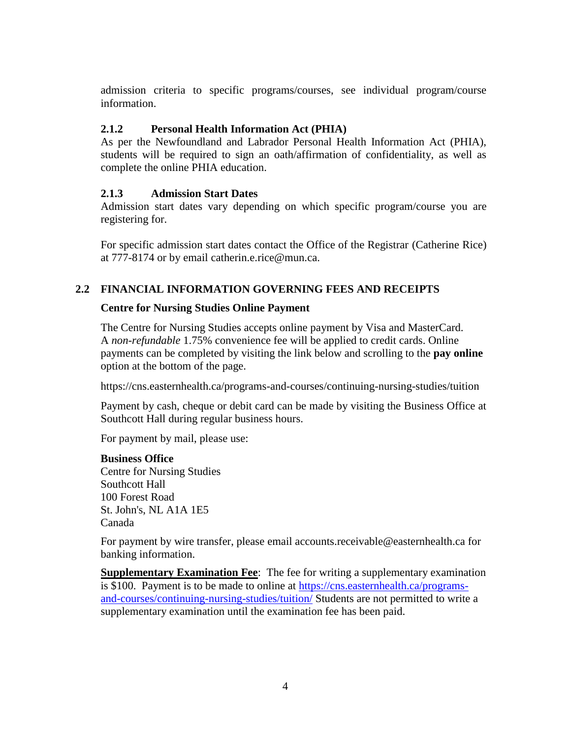admission criteria to specific programs/courses, see individual program/course information.

# **2.1.2 Personal Health Information Act (PHIA)**

As per the Newfoundland and Labrador Personal Health Information Act (PHIA), students will be required to sign an oath/affirmation of confidentiality, as well as complete the online PHIA education.

# **2.1.3 Admission Start Dates**

Admission start dates vary depending on which specific program/course you are registering for.

For specific admission start dates contact the Office of the Registrar (Catherine Rice) at 777-8174 or by email catherin.e.rice@mun.ca.

# **2.2 FINANCIAL INFORMATION GOVERNING FEES AND RECEIPTS**

# **Centre for Nursing Studies Online Payment**

The Centre for Nursing Studies accepts online payment by Visa and MasterCard. A *non-refundable* 1.75% convenience fee will be applied to credit cards. Online payments can be completed by visiting the link below and scrolling to the **pay online**  option at the bottom of the page.

https://cns.easternhealth.ca/programs-and-courses/continuing-nursing-studies/tuition

Payment by cash, cheque or debit card can be made by visiting the Business Office at Southcott Hall during regular business hours.

For payment by mail, please use:

# **Business Office**

Centre for Nursing Studies Southcott Hall 100 Forest Road St. John's, NL A1A 1E5 Canada

For payment by wire transfer, please email [accounts.receivable@easternhealth.ca](mailto:accounts.receivable@easternhealth.ca) for banking information.

**Supplementary Examination Fee**: The fee for writing a supplementary examination is \$100. Payment is to be made to online at [https://cns.easternhealth.ca/programs](https://cns.easternhealth.ca/programs-and-courses/continuing-nursing-studies/tuition/)[and-courses/continuing-nursing-studies/tuition/](https://cns.easternhealth.ca/programs-and-courses/continuing-nursing-studies/tuition/) Students are not permitted to write a supplementary examination until the examination fee has been paid.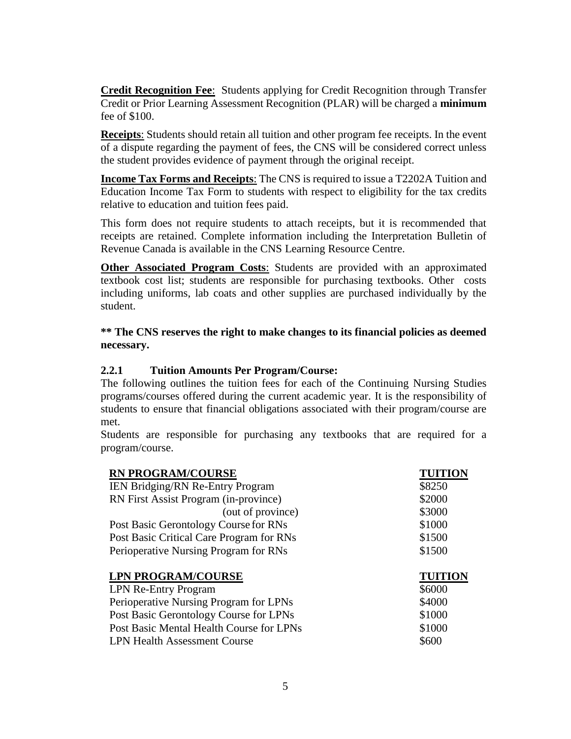**Credit Recognition Fee**: Students applying for Credit Recognition through Transfer Credit or Prior Learning Assessment Recognition (PLAR) will be charged a **minimum** fee of \$100.

**Receipts**: Students should retain all tuition and other program fee receipts. In the event of a dispute regarding the payment of fees, the CNS will be considered correct unless the student provides evidence of payment through the original receipt.

**Income Tax Forms and Receipts**: The CNS is required to issue a T2202A Tuition and Education Income Tax Form to students with respect to eligibility for the tax credits relative to education and tuition fees paid.

This form does not require students to attach receipts, but it is recommended that receipts are retained. Complete information including the Interpretation Bulletin of Revenue Canada is available in the CNS Learning Resource Centre.

**Other Associated Program Costs**: Students are provided with an approximated textbook cost list; students are responsible for purchasing textbooks. Other costs including uniforms, lab coats and other supplies are purchased individually by the student.

### **\*\* The CNS reserves the right to make changes to its financial policies as deemed necessary.**

# **2.2.1 Tuition Amounts Per Program/Course:**

The following outlines the tuition fees for each of the Continuing Nursing Studies programs/courses offered during the current academic year. It is the responsibility of students to ensure that financial obligations associated with their program/course are met.

Students are responsible for purchasing any textbooks that are required for a program/course.

| <b>RN PROGRAM/COURSE</b>                 | <b>TUITION</b> |
|------------------------------------------|----------------|
| IEN Bridging/RN Re-Entry Program         | \$8250         |
| RN First Assist Program (in-province)    | \$2000         |
| (out of province)                        | \$3000         |
| Post Basic Gerontology Course for RNs    | \$1000         |
| Post Basic Critical Care Program for RNs | \$1500         |
| Perioperative Nursing Program for RNs    | \$1500         |
|                                          |                |
| <b>LPN PROGRAM/COURSE</b>                | <b>TUITION</b> |
|                                          |                |
| <b>LPN Re-Entry Program</b>              | \$6000         |
| Perioperative Nursing Program for LPNs   | \$4000         |
| Post Basic Gerontology Course for LPNs   | \$1000         |
| Post Basic Mental Health Course for LPNs | \$1000         |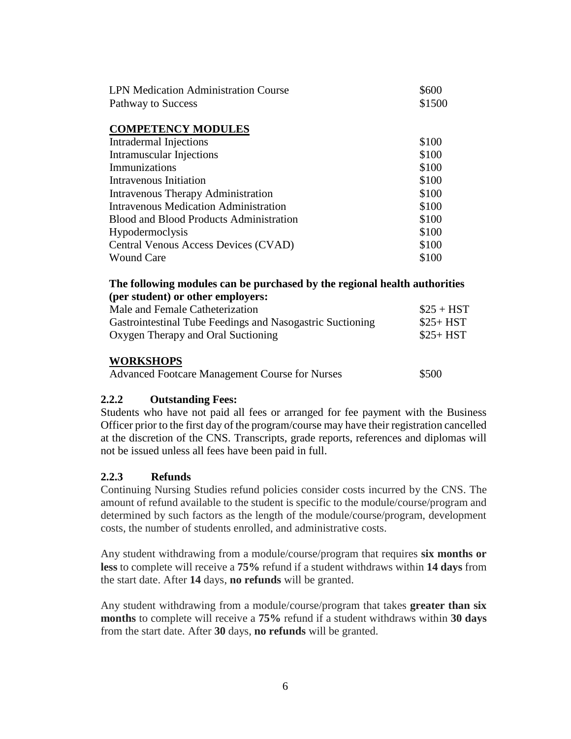| <b>LPN Medication Administration Course</b>    | \$600  |  |
|------------------------------------------------|--------|--|
| Pathway to Success                             | \$1500 |  |
|                                                |        |  |
| <b>COMPETENCY MODULES</b>                      |        |  |
| Intradermal Injections                         | \$100  |  |
| Intramuscular Injections                       | \$100  |  |
| Immunizations                                  | \$100  |  |
| Intravenous Initiation                         | \$100  |  |
| Intravenous Therapy Administration             | \$100  |  |
| <b>Intravenous Medication Administration</b>   | \$100  |  |
| <b>Blood and Blood Products Administration</b> | \$100  |  |
| Hypodermoclysis                                | \$100  |  |
| Central Venous Access Devices (CVAD)           | \$100  |  |
| <b>Wound Care</b>                              | \$100  |  |

### **The following modules can be purchased by the regional health authorities (per student) or other employers:**

| Male and Female Catheterization                           | $$25 + HST$ |
|-----------------------------------------------------------|-------------|
| Gastrointestinal Tube Feedings and Nasogastric Suctioning | $$25+HST$   |
| Oxygen Therapy and Oral Suctioning                        | $$25+HST$   |
|                                                           |             |

### **WORKSHOPS**

| <b>Advanced Footcare Management Course for Nurses</b> | \$500 |
|-------------------------------------------------------|-------|
|-------------------------------------------------------|-------|

### **2.2.2 Outstanding Fees:**

Students who have not paid all fees or arranged for fee payment with the Business Officer prior to the first day of the program/course may have their registration cancelled at the discretion of the CNS. Transcripts, grade reports, references and diplomas will not be issued unless all fees have been paid in full.

### **2.2.3 Refunds**

Continuing Nursing Studies refund policies consider costs incurred by the CNS. The amount of refund available to the student is specific to the module/course/program and determined by such factors as the length of the module/course/program, development costs, the number of students enrolled, and administrative costs.

Any student withdrawing from a module/course/program that requires **six months or less** to complete will receive a **75%** refund if a student withdraws within **14 days** from the start date. After **14** days, **no refunds** will be granted.

Any student withdrawing from a module/course/program that takes **greater than six months** to complete will receive a **75%** refund if a student withdraws within **30 days** from the start date. After **30** days, **no refunds** will be granted.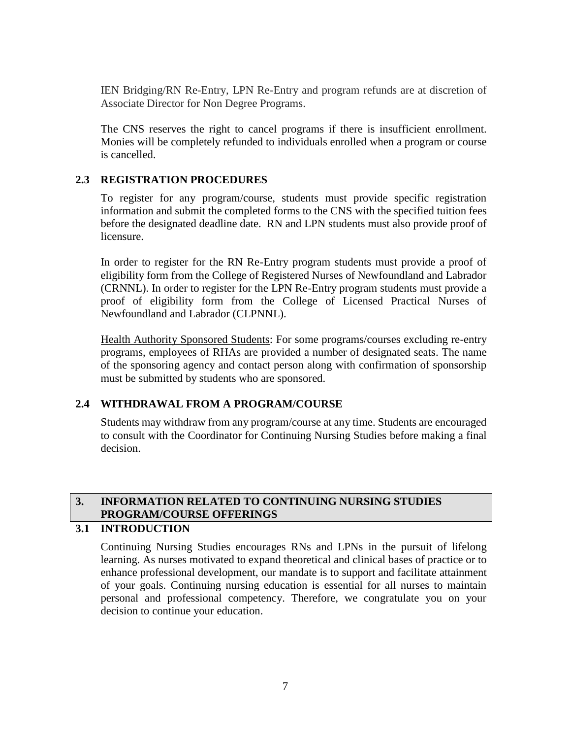IEN Bridging/RN Re-Entry, LPN Re-Entry and program refunds are at discretion of Associate Director for Non Degree Programs.

The CNS reserves the right to cancel programs if there is insufficient enrollment. Monies will be completely refunded to individuals enrolled when a program or course is cancelled.

# **2.3 REGISTRATION PROCEDURES**

To register for any program/course, students must provide specific registration information and submit the completed forms to the CNS with the specified tuition fees before the designated deadline date. RN and LPN students must also provide proof of licensure.

In order to register for the RN Re-Entry program students must provide a proof of eligibility form from the College of Registered Nurses of Newfoundland and Labrador (CRNNL). In order to register for the LPN Re-Entry program students must provide a proof of eligibility form from the College of Licensed Practical Nurses of Newfoundland and Labrador (CLPNNL).

Health Authority Sponsored Students: For some programs/courses excluding re-entry programs, employees of RHAs are provided a number of designated seats. The name of the sponsoring agency and contact person along with confirmation of sponsorship must be submitted by students who are sponsored.

# **2.4 WITHDRAWAL FROM A PROGRAM/COURSE**

Students may withdraw from any program/course at any time. Students are encouraged to consult with the Coordinator for Continuing Nursing Studies before making a final decision.

# **3. INFORMATION RELATED TO CONTINUING NURSING STUDIES PROGRAM/COURSE OFFERINGS**

# **3.1 INTRODUCTION**

Continuing Nursing Studies encourages RNs and LPNs in the pursuit of lifelong learning. As nurses motivated to expand theoretical and clinical bases of practice or to enhance professional development, our mandate is to support and facilitate attainment of your goals. Continuing nursing education is essential for all nurses to maintain personal and professional competency. Therefore, we congratulate you on your decision to continue your education.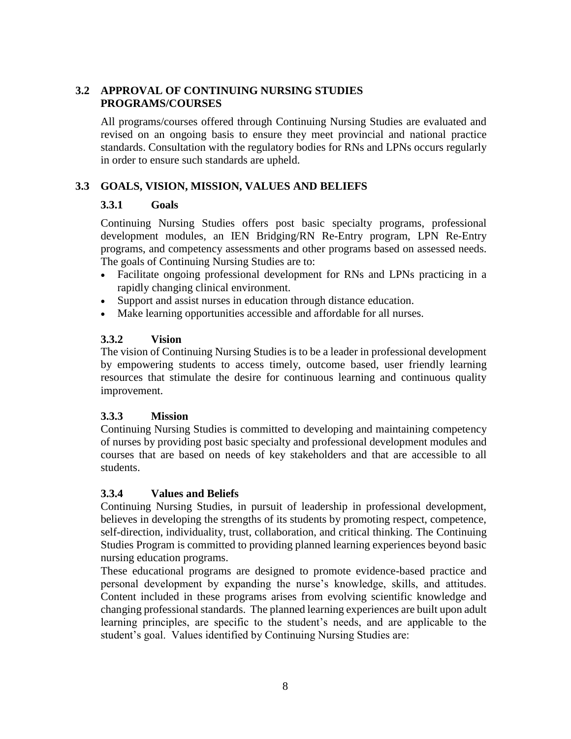# **3.2 APPROVAL OF CONTINUING NURSING STUDIES PROGRAMS/COURSES**

All programs/courses offered through Continuing Nursing Studies are evaluated and revised on an ongoing basis to ensure they meet provincial and national practice standards. Consultation with the regulatory bodies for RNs and LPNs occurs regularly in order to ensure such standards are upheld.

# **3.3 GOALS, VISION, MISSION, VALUES AND BELIEFS**

# **3.3.1 Goals**

Continuing Nursing Studies offers post basic specialty programs, professional development modules, an IEN Bridging/RN Re-Entry program, LPN Re-Entry programs, and competency assessments and other programs based on assessed needs. The goals of Continuing Nursing Studies are to:

- Facilitate ongoing professional development for RNs and LPNs practicing in a rapidly changing clinical environment.
- Support and assist nurses in education through distance education.
- Make learning opportunities accessible and affordable for all nurses.

# **3.3.2 Vision**

The vision of Continuing Nursing Studies is to be a leader in professional development by empowering students to access timely, outcome based, user friendly learning resources that stimulate the desire for continuous learning and continuous quality improvement.

# **3.3.3 Mission**

Continuing Nursing Studies is committed to developing and maintaining competency of nurses by providing post basic specialty and professional development modules and courses that are based on needs of key stakeholders and that are accessible to all students.

### **3.3.4 Values and Beliefs**

Continuing Nursing Studies, in pursuit of leadership in professional development, believes in developing the strengths of its students by promoting respect, competence, self-direction, individuality, trust, collaboration, and critical thinking. The Continuing Studies Program is committed to providing planned learning experiences beyond basic nursing education programs.

These educational programs are designed to promote evidence-based practice and personal development by expanding the nurse's knowledge, skills, and attitudes. Content included in these programs arises from evolving scientific knowledge and changing professional standards. The planned learning experiences are built upon adult learning principles, are specific to the student's needs, and are applicable to the student's goal. Values identified by Continuing Nursing Studies are: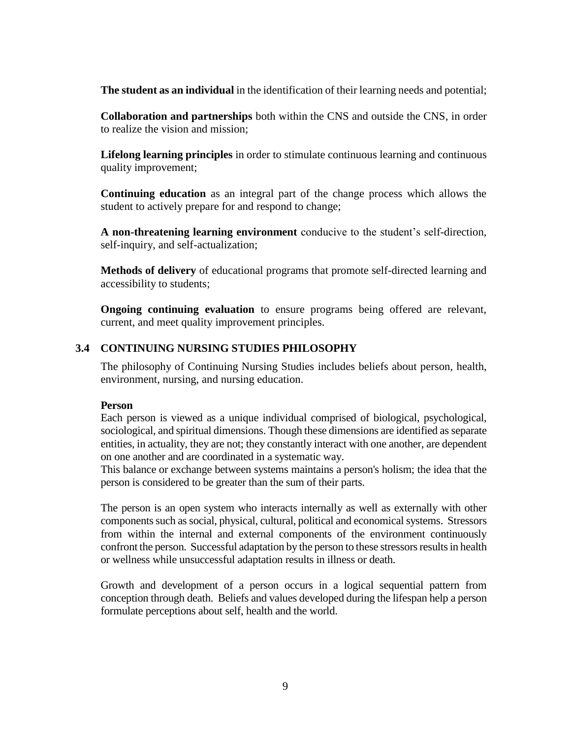**The student as an individual** in the identification of their learning needs and potential;

**Collaboration and partnerships** both within the CNS and outside the CNS, in order to realize the vision and mission;

**Lifelong learning principles** in order to stimulate continuous learning and continuous quality improvement;

**Continuing education** as an integral part of the change process which allows the student to actively prepare for and respond to change;

**A non-threatening learning environment** conducive to the student's self-direction, self-inquiry, and self-actualization;

**Methods of delivery** of educational programs that promote self-directed learning and accessibility to students;

**Ongoing continuing evaluation** to ensure programs being offered are relevant, current, and meet quality improvement principles.

### **3.4 CONTINUING NURSING STUDIES PHILOSOPHY**

The philosophy of Continuing Nursing Studies includes beliefs about person, health, environment, nursing, and nursing education.

#### **Person**

Each person is viewed as a unique individual comprised of biological, psychological, sociological, and spiritual dimensions. Though these dimensions are identified as separate entities, in actuality, they are not; they constantly interact with one another, are dependent on one another and are coordinated in a systematic way.

This balance or exchange between systems maintains a person's holism; the idea that the person is considered to be greater than the sum of their parts.

The person is an open system who interacts internally as well as externally with other components such as social, physical, cultural, political and economical systems. Stressors from within the internal and external components of the environment continuously confront the person. Successful adaptation by the person to these stressors results in health or wellness while unsuccessful adaptation results in illness or death.

Growth and development of a person occurs in a logical sequential pattern from conception through death. Beliefs and values developed during the lifespan help a person formulate perceptions about self, health and the world.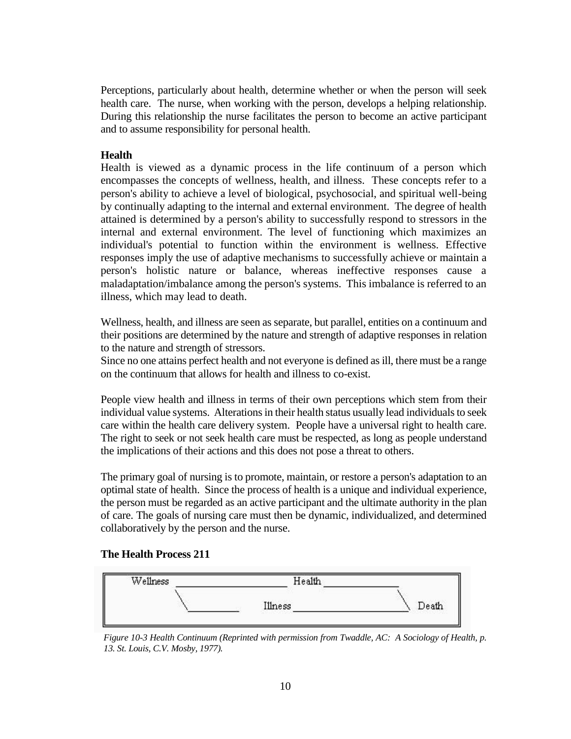Perceptions, particularly about health, determine whether or when the person will seek health care. The nurse, when working with the person, develops a helping relationship. During this relationship the nurse facilitates the person to become an active participant and to assume responsibility for personal health.

### **Health**

Health is viewed as a dynamic process in the life continuum of a person which encompasses the concepts of wellness, health, and illness. These concepts refer to a person's ability to achieve a level of biological, psychosocial, and spiritual well-being by continually adapting to the internal and external environment. The degree of health attained is determined by a person's ability to successfully respond to stressors in the internal and external environment. The level of functioning which maximizes an individual's potential to function within the environment is wellness. Effective responses imply the use of adaptive mechanisms to successfully achieve or maintain a person's holistic nature or balance, whereas ineffective responses cause a maladaptation/imbalance among the person's systems. This imbalance is referred to an illness, which may lead to death.

Wellness, health, and illness are seen as separate, but parallel, entities on a continuum and their positions are determined by the nature and strength of adaptive responses in relation to the nature and strength of stressors.

Since no one attains perfect health and not everyone is defined as ill, there must be a range on the continuum that allows for health and illness to co-exist.

People view health and illness in terms of their own perceptions which stem from their individual value systems. Alterations in their health status usually lead individuals to seek care within the health care delivery system. People have a universal right to health care. The right to seek or not seek health care must be respected, as long as people understand the implications of their actions and this does not pose a threat to others.

The primary goal of nursing is to promote, maintain, or restore a person's adaptation to an optimal state of health. Since the process of health is a unique and individual experience, the person must be regarded as an active participant and the ultimate authority in the plan of care. The goals of nursing care must then be dynamic, individualized, and determined collaboratively by the person and the nurse.

### **The Health Process 211**



*Figure 10-3 Health Continuum (Reprinted with permission from Twaddle, AC: A Sociology of Health, p. 13. St. Louis, C.V. Mosby, 1977).*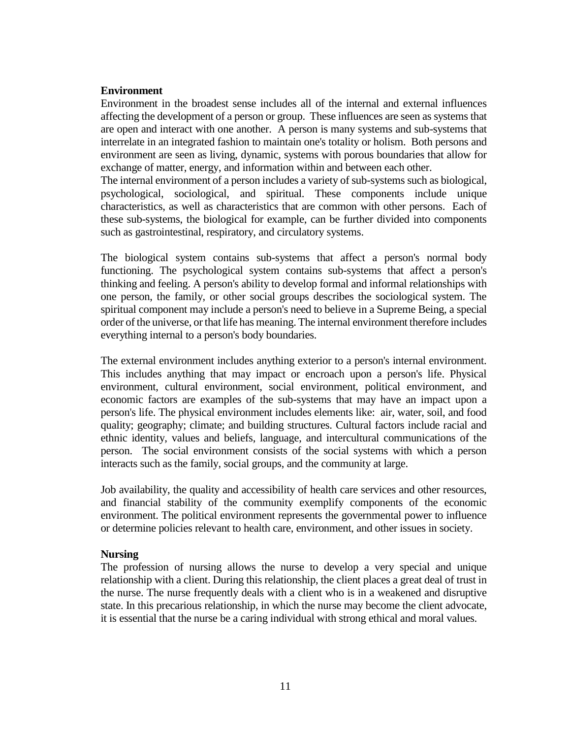### **Environment**

Environment in the broadest sense includes all of the internal and external influences affecting the development of a person or group. These influences are seen as systems that are open and interact with one another. A person is many systems and sub-systems that interrelate in an integrated fashion to maintain one's totality or holism. Both persons and environment are seen as living, dynamic, systems with porous boundaries that allow for exchange of matter, energy, and information within and between each other.

The internal environment of a person includes a variety of sub-systems such as biological, psychological, sociological, and spiritual. These components include unique characteristics, as well as characteristics that are common with other persons. Each of these sub-systems, the biological for example, can be further divided into components such as gastrointestinal, respiratory, and circulatory systems.

The biological system contains sub-systems that affect a person's normal body functioning. The psychological system contains sub-systems that affect a person's thinking and feeling. A person's ability to develop formal and informal relationships with one person, the family, or other social groups describes the sociological system. The spiritual component may include a person's need to believe in a Supreme Being, a special order of the universe, or that life has meaning. The internal environment therefore includes everything internal to a person's body boundaries.

The external environment includes anything exterior to a person's internal environment. This includes anything that may impact or encroach upon a person's life. Physical environment, cultural environment, social environment, political environment, and economic factors are examples of the sub-systems that may have an impact upon a person's life. The physical environment includes elements like: air, water, soil, and food quality; geography; climate; and building structures. Cultural factors include racial and ethnic identity, values and beliefs, language, and intercultural communications of the person. The social environment consists of the social systems with which a person interacts such as the family, social groups, and the community at large.

Job availability, the quality and accessibility of health care services and other resources, and financial stability of the community exemplify components of the economic environment. The political environment represents the governmental power to influence or determine policies relevant to health care, environment, and other issues in society.

### **Nursing**

The profession of nursing allows the nurse to develop a very special and unique relationship with a client. During this relationship, the client places a great deal of trust in the nurse. The nurse frequently deals with a client who is in a weakened and disruptive state. In this precarious relationship, in which the nurse may become the client advocate, it is essential that the nurse be a caring individual with strong ethical and moral values.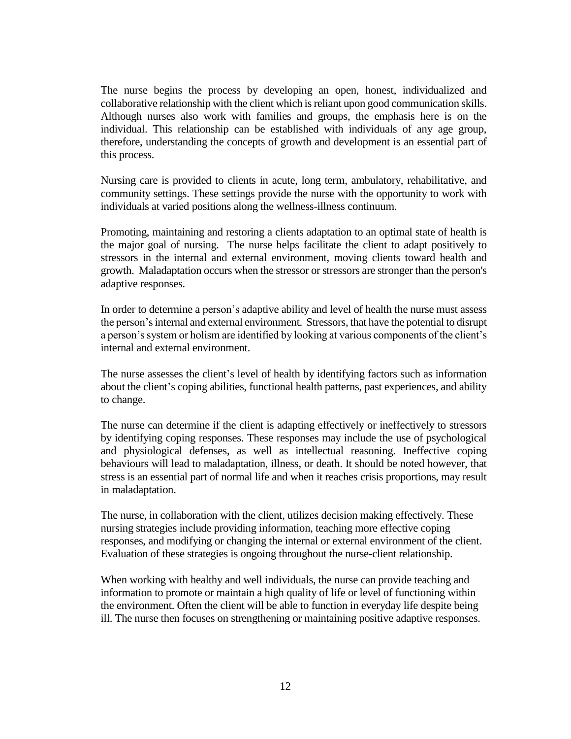The nurse begins the process by developing an open, honest, individualized and collaborative relationship with the client which is reliant upon good communication skills. Although nurses also work with families and groups, the emphasis here is on the individual. This relationship can be established with individuals of any age group, therefore, understanding the concepts of growth and development is an essential part of this process.

Nursing care is provided to clients in acute, long term, ambulatory, rehabilitative, and community settings. These settings provide the nurse with the opportunity to work with individuals at varied positions along the wellness-illness continuum.

Promoting, maintaining and restoring a clients adaptation to an optimal state of health is the major goal of nursing. The nurse helps facilitate the client to adapt positively to stressors in the internal and external environment, moving clients toward health and growth. Maladaptation occurs when the stressor or stressors are stronger than the person's adaptive responses.

In order to determine a person's adaptive ability and level of health the nurse must assess the person's internal and external environment. Stressors, that have the potential to disrupt a person's system or holism are identified by looking at various components of the client's internal and external environment.

The nurse assesses the client's level of health by identifying factors such as information about the client's coping abilities, functional health patterns, past experiences, and ability to change.

The nurse can determine if the client is adapting effectively or ineffectively to stressors by identifying coping responses. These responses may include the use of psychological and physiological defenses, as well as intellectual reasoning. Ineffective coping behaviours will lead to maladaptation, illness, or death. It should be noted however, that stress is an essential part of normal life and when it reaches crisis proportions, may result in maladaptation.

The nurse, in collaboration with the client, utilizes decision making effectively. These nursing strategies include providing information, teaching more effective coping responses, and modifying or changing the internal or external environment of the client. Evaluation of these strategies is ongoing throughout the nurse-client relationship.

When working with healthy and well individuals, the nurse can provide teaching and information to promote or maintain a high quality of life or level of functioning within the environment. Often the client will be able to function in everyday life despite being ill. The nurse then focuses on strengthening or maintaining positive adaptive responses.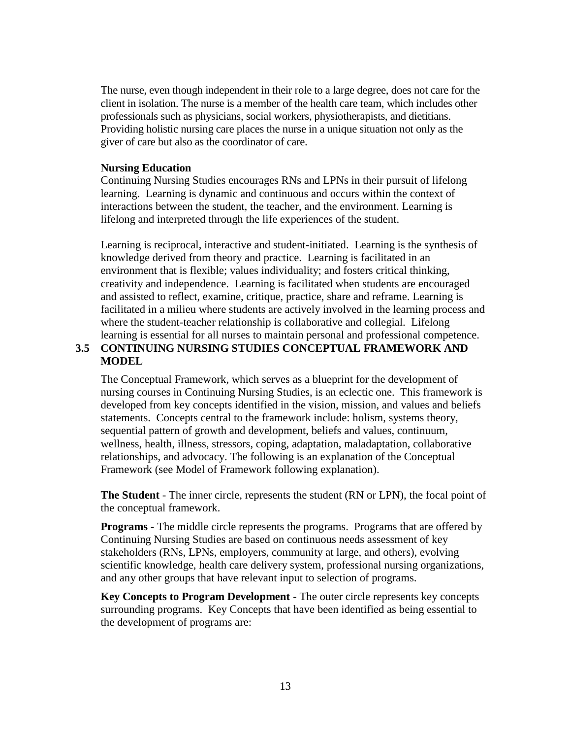The nurse, even though independent in their role to a large degree, does not care for the client in isolation. The nurse is a member of the health care team, which includes other professionals such as physicians, social workers, physiotherapists, and dietitians. Providing holistic nursing care places the nurse in a unique situation not only as the giver of care but also as the coordinator of care.

### **Nursing Education**

Continuing Nursing Studies encourages RNs and LPNs in their pursuit of lifelong learning. Learning is dynamic and continuous and occurs within the context of interactions between the student, the teacher, and the environment. Learning is lifelong and interpreted through the life experiences of the student.

Learning is reciprocal, interactive and student-initiated. Learning is the synthesis of knowledge derived from theory and practice. Learning is facilitated in an environment that is flexible; values individuality; and fosters critical thinking, creativity and independence. Learning is facilitated when students are encouraged and assisted to reflect, examine, critique, practice, share and reframe. Learning is facilitated in a milieu where students are actively involved in the learning process and where the student-teacher relationship is collaborative and collegial. Lifelong learning is essential for all nurses to maintain personal and professional competence.

# **3.5 CONTINUING NURSING STUDIES CONCEPTUAL FRAMEWORK AND MODEL**

The Conceptual Framework, which serves as a blueprint for the development of nursing courses in Continuing Nursing Studies, is an eclectic one. This framework is developed from key concepts identified in the vision, mission, and values and beliefs statements. Concepts central to the framework include: holism, systems theory, sequential pattern of growth and development, beliefs and values, continuum, wellness, health, illness, stressors, coping, adaptation, maladaptation, collaborative relationships, and advocacy. The following is an explanation of the Conceptual Framework (see Model of Framework following explanation).

**The Student** - The inner circle, represents the student (RN or LPN), the focal point of the conceptual framework.

**Programs** - The middle circle represents the programs. Programs that are offered by Continuing Nursing Studies are based on continuous needs assessment of key stakeholders (RNs, LPNs, employers, community at large, and others), evolving scientific knowledge, health care delivery system, professional nursing organizations, and any other groups that have relevant input to selection of programs.

**Key Concepts to Program Development** - The outer circle represents key concepts surrounding programs. Key Concepts that have been identified as being essential to the development of programs are: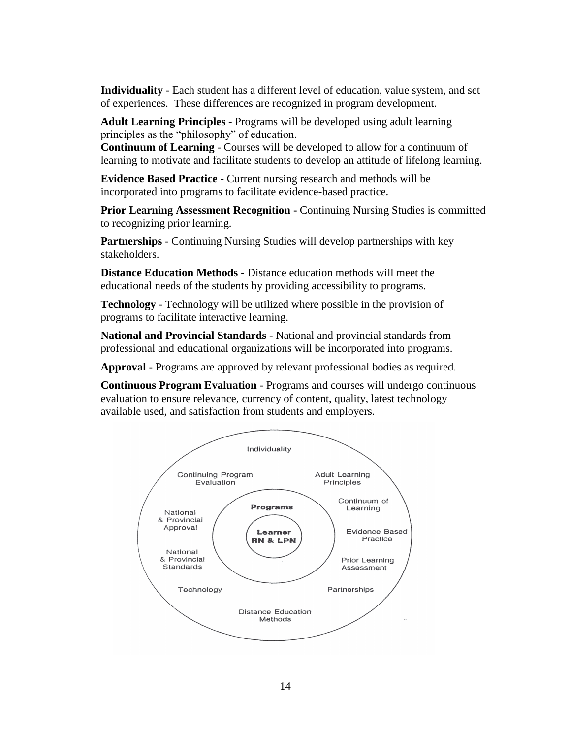**Individuality** - Each student has a different level of education, value system, and set of experiences. These differences are recognized in program development.

**Adult Learning Principles -** Programs will be developed using adult learning principles as the "philosophy" of education.

**Continuum of Learning** - Courses will be developed to allow for a continuum of learning to motivate and facilitate students to develop an attitude of lifelong learning.

**Evidence Based Practice** - Current nursing research and methods will be incorporated into programs to facilitate evidence-based practice.

**Prior Learning Assessment Recognition -** Continuing Nursing Studies is committed to recognizing prior learning.

**Partnerships** - Continuing Nursing Studies will develop partnerships with key stakeholders.

**Distance Education Methods** - Distance education methods will meet the educational needs of the students by providing accessibility to programs.

**Technology** - Technology will be utilized where possible in the provision of programs to facilitate interactive learning.

**National and Provincial Standards** - National and provincial standards from professional and educational organizations will be incorporated into programs.

**Approval** - Programs are approved by relevant professional bodies as required.

**Continuous Program Evaluation** - Programs and courses will undergo continuous evaluation to ensure relevance, currency of content, quality, latest technology available used, and satisfaction from students and employers.

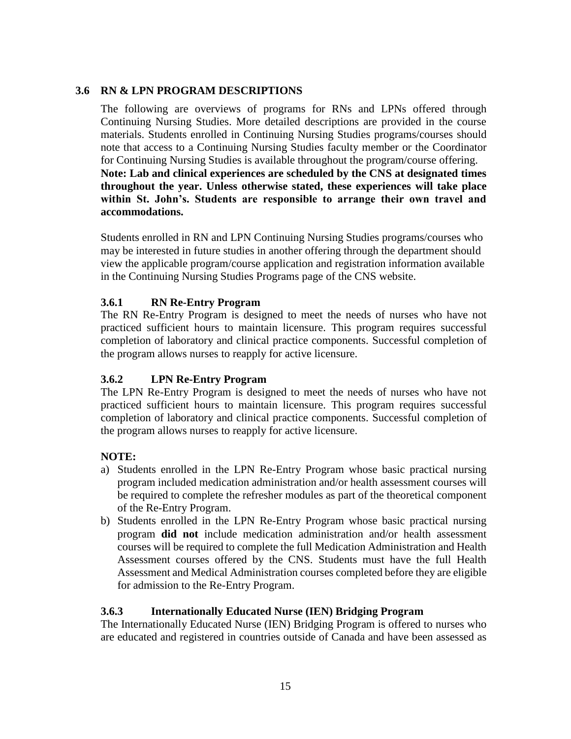# **3.6 RN & LPN PROGRAM DESCRIPTIONS**

The following are overviews of programs for RNs and LPNs offered through Continuing Nursing Studies. More detailed descriptions are provided in the course materials. Students enrolled in Continuing Nursing Studies programs/courses should note that access to a Continuing Nursing Studies faculty member or the Coordinator for Continuing Nursing Studies is available throughout the program/course offering. **Note: Lab and clinical experiences are scheduled by the CNS at designated times throughout the year. Unless otherwise stated, these experiences will take place within St. John's. Students are responsible to arrange their own travel and accommodations.**

Students enrolled in RN and LPN Continuing Nursing Studies programs/courses who may be interested in future studies in another offering through the department should view the applicable program/course application and registration information available in the Continuing Nursing Studies Programs page of the CNS website.

# **3.6.1 RN Re-Entry Program**

The RN Re-Entry Program is designed to meet the needs of nurses who have not practiced sufficient hours to maintain licensure. This program requires successful completion of laboratory and clinical practice components. Successful completion of the program allows nurses to reapply for active licensure.

# **3.6.2 LPN Re-Entry Program**

The LPN Re-Entry Program is designed to meet the needs of nurses who have not practiced sufficient hours to maintain licensure. This program requires successful completion of laboratory and clinical practice components. Successful completion of the program allows nurses to reapply for active licensure.

# **NOTE:**

- a) Students enrolled in the LPN Re-Entry Program whose basic practical nursing program included medication administration and/or health assessment courses will be required to complete the refresher modules as part of the theoretical component of the Re-Entry Program.
- b) Students enrolled in the LPN Re-Entry Program whose basic practical nursing program **did not** include medication administration and/or health assessment courses will be required to complete the full Medication Administration and Health Assessment courses offered by the CNS. Students must have the full Health Assessment and Medical Administration courses completed before they are eligible for admission to the Re-Entry Program.

### **3.6.3 Internationally Educated Nurse (IEN) Bridging Program**

The Internationally Educated Nurse (IEN) Bridging Program is offered to nurses who are educated and registered in countries outside of Canada and have been assessed as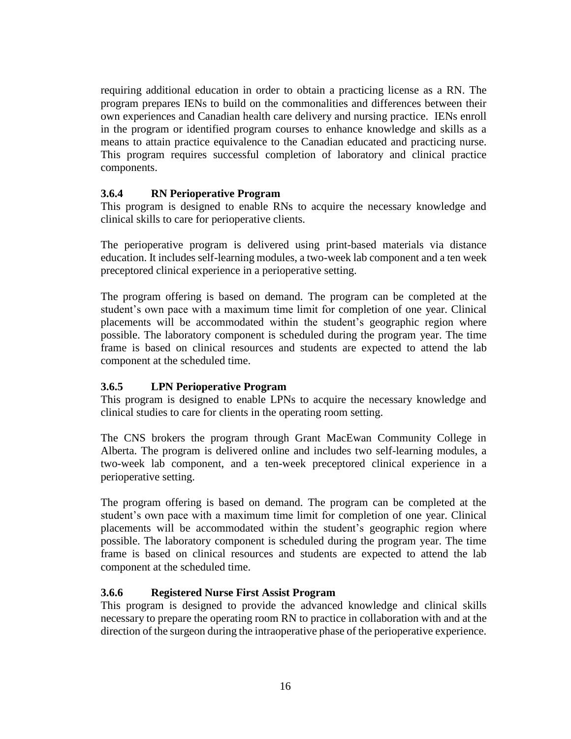requiring additional education in order to obtain a practicing license as a RN. The program prepares IENs to build on the commonalities and differences between their own experiences and Canadian health care delivery and nursing practice. IENs enroll in the program or identified program courses to enhance knowledge and skills as a means to attain practice equivalence to the Canadian educated and practicing nurse. This program requires successful completion of laboratory and clinical practice components.

# **3.6.4 RN Perioperative Program**

This program is designed to enable RNs to acquire the necessary knowledge and clinical skills to care for perioperative clients.

The perioperative program is delivered using print-based materials via distance education. It includes self-learning modules, a two-week lab component and a ten week preceptored clinical experience in a perioperative setting.

The program offering is based on demand. The program can be completed at the student's own pace with a maximum time limit for completion of one year. Clinical placements will be accommodated within the student's geographic region where possible. The laboratory component is scheduled during the program year. The time frame is based on clinical resources and students are expected to attend the lab component at the scheduled time.

# **3.6.5 LPN Perioperative Program**

This program is designed to enable LPNs to acquire the necessary knowledge and clinical studies to care for clients in the operating room setting.

The CNS brokers the program through Grant MacEwan Community College in Alberta. The program is delivered online and includes two self-learning modules, a two-week lab component, and a ten-week preceptored clinical experience in a perioperative setting.

The program offering is based on demand. The program can be completed at the student's own pace with a maximum time limit for completion of one year. Clinical placements will be accommodated within the student's geographic region where possible. The laboratory component is scheduled during the program year. The time frame is based on clinical resources and students are expected to attend the lab component at the scheduled time.

### **3.6.6 Registered Nurse First Assist Program**

This program is designed to provide the advanced knowledge and clinical skills necessary to prepare the operating room RN to practice in collaboration with and at the direction of the surgeon during the intraoperative phase of the perioperative experience.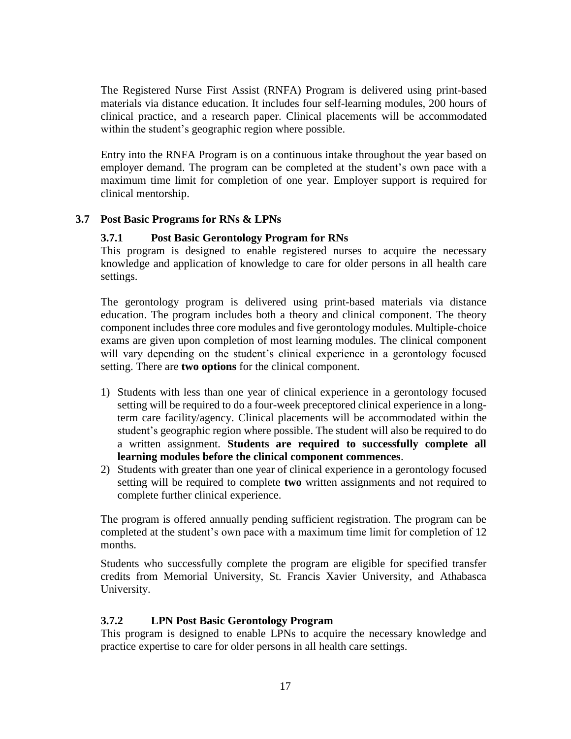The Registered Nurse First Assist (RNFA) Program is delivered using print-based materials via distance education. It includes four self-learning modules, 200 hours of clinical practice, and a research paper. Clinical placements will be accommodated within the student's geographic region where possible.

Entry into the RNFA Program is on a continuous intake throughout the year based on employer demand. The program can be completed at the student's own pace with a maximum time limit for completion of one year. Employer support is required for clinical mentorship.

### **3.7 Post Basic Programs for RNs & LPNs**

### **3.7.1 Post Basic Gerontology Program for RNs**

This program is designed to enable registered nurses to acquire the necessary knowledge and application of knowledge to care for older persons in all health care settings.

The gerontology program is delivered using print-based materials via distance education. The program includes both a theory and clinical component. The theory component includes three core modules and five gerontology modules. Multiple-choice exams are given upon completion of most learning modules. The clinical component will vary depending on the student's clinical experience in a gerontology focused setting. There are **two options** for the clinical component.

- 1) Students with less than one year of clinical experience in a gerontology focused setting will be required to do a four-week preceptored clinical experience in a longterm care facility/agency. Clinical placements will be accommodated within the student's geographic region where possible. The student will also be required to do a written assignment. **Students are required to successfully complete all learning modules before the clinical component commences**.
- 2) Students with greater than one year of clinical experience in a gerontology focused setting will be required to complete **two** written assignments and not required to complete further clinical experience.

The program is offered annually pending sufficient registration. The program can be completed at the student's own pace with a maximum time limit for completion of 12 months.

Students who successfully complete the program are eligible for specified transfer credits from Memorial University, St. Francis Xavier University, and Athabasca University.

### **3.7.2 LPN Post Basic Gerontology Program**

This program is designed to enable LPNs to acquire the necessary knowledge and practice expertise to care for older persons in all health care settings.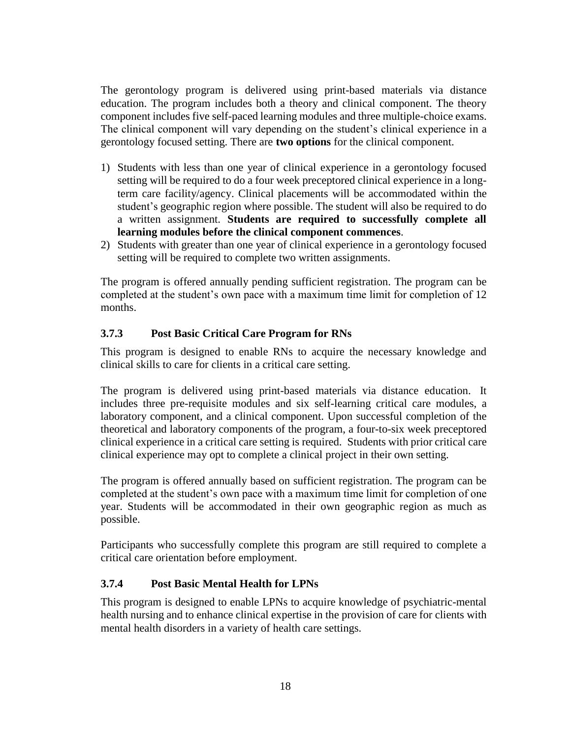The gerontology program is delivered using print-based materials via distance education. The program includes both a theory and clinical component. The theory component includes five self-paced learning modules and three multiple-choice exams. The clinical component will vary depending on the student's clinical experience in a gerontology focused setting. There are **two options** for the clinical component.

- 1) Students with less than one year of clinical experience in a gerontology focused setting will be required to do a four week preceptored clinical experience in a longterm care facility/agency. Clinical placements will be accommodated within the student's geographic region where possible. The student will also be required to do a written assignment. **Students are required to successfully complete all learning modules before the clinical component commences**.
- 2) Students with greater than one year of clinical experience in a gerontology focused setting will be required to complete two written assignments.

The program is offered annually pending sufficient registration. The program can be completed at the student's own pace with a maximum time limit for completion of 12 months.

# **3.7.3 Post Basic Critical Care Program for RNs**

This program is designed to enable RNs to acquire the necessary knowledge and clinical skills to care for clients in a critical care setting.

The program is delivered using print-based materials via distance education. It includes three pre-requisite modules and six self-learning critical care modules, a laboratory component, and a clinical component. Upon successful completion of the theoretical and laboratory components of the program, a four-to-six week preceptored clinical experience in a critical care setting is required. Students with prior critical care clinical experience may opt to complete a clinical project in their own setting.

The program is offered annually based on sufficient registration. The program can be completed at the student's own pace with a maximum time limit for completion of one year. Students will be accommodated in their own geographic region as much as possible.

Participants who successfully complete this program are still required to complete a critical care orientation before employment.

# **3.7.4 Post Basic Mental Health for LPNs**

This program is designed to enable LPNs to acquire knowledge of psychiatric-mental health nursing and to enhance clinical expertise in the provision of care for clients with mental health disorders in a variety of health care settings.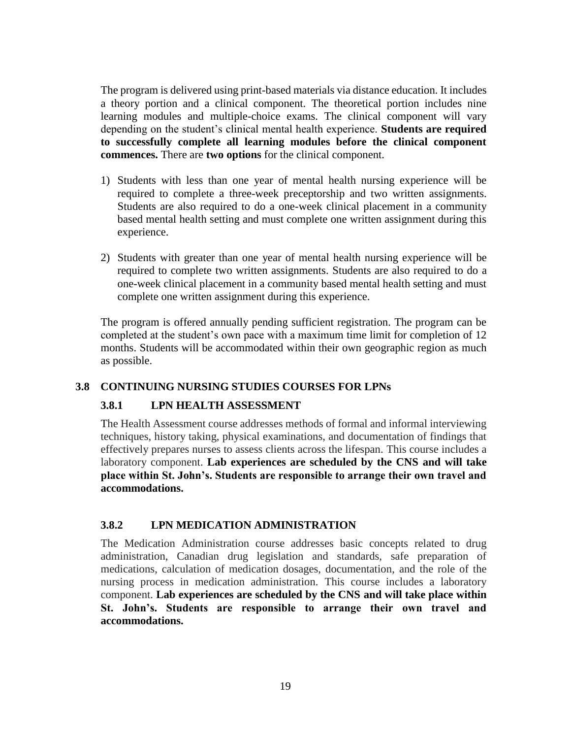The program is delivered using print-based materials via distance education. It includes a theory portion and a clinical component. The theoretical portion includes nine learning modules and multiple-choice exams. The clinical component will vary depending on the student's clinical mental health experience. **Students are required to successfully complete all learning modules before the clinical component commences.** There are **two options** for the clinical component.

- 1) Students with less than one year of mental health nursing experience will be required to complete a three-week preceptorship and two written assignments. Students are also required to do a one-week clinical placement in a community based mental health setting and must complete one written assignment during this experience.
- 2) Students with greater than one year of mental health nursing experience will be required to complete two written assignments. Students are also required to do a one-week clinical placement in a community based mental health setting and must complete one written assignment during this experience.

The program is offered annually pending sufficient registration. The program can be completed at the student's own pace with a maximum time limit for completion of 12 months. Students will be accommodated within their own geographic region as much as possible.

# **3.8 CONTINUING NURSING STUDIES COURSES FOR LPNs**

# **3.8.1 LPN HEALTH ASSESSMENT**

The Health Assessment course addresses methods of formal and informal interviewing techniques, history taking, physical examinations, and documentation of findings that effectively prepares nurses to assess clients across the lifespan. This course includes a laboratory component. **Lab experiences are scheduled by the CNS and will take place within St. John's. Students are responsible to arrange their own travel and accommodations.**

# **3.8.2 LPN MEDICATION ADMINISTRATION**

The Medication Administration course addresses basic concepts related to drug administration, Canadian drug legislation and standards, safe preparation of medications, calculation of medication dosages, documentation, and the role of the nursing process in medication administration. This course includes a laboratory component. **Lab experiences are scheduled by the CNS and will take place within St. John's. Students are responsible to arrange their own travel and accommodations.**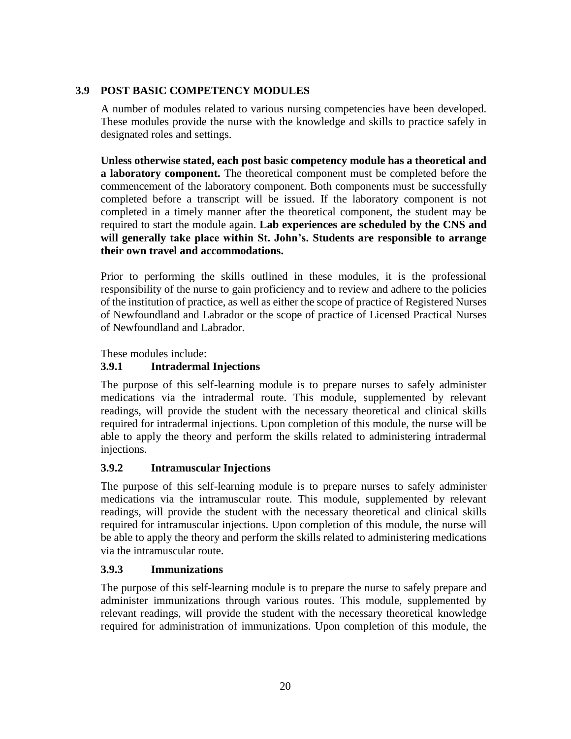# **3.9 POST BASIC COMPETENCY MODULES**

A number of modules related to various nursing competencies have been developed. These modules provide the nurse with the knowledge and skills to practice safely in designated roles and settings.

**Unless otherwise stated, each post basic competency module has a theoretical and a laboratory component.** The theoretical component must be completed before the commencement of the laboratory component. Both components must be successfully completed before a transcript will be issued. If the laboratory component is not completed in a timely manner after the theoretical component, the student may be required to start the module again. **Lab experiences are scheduled by the CNS and will generally take place within St. John's. Students are responsible to arrange their own travel and accommodations.**

Prior to performing the skills outlined in these modules, it is the professional responsibility of the nurse to gain proficiency and to review and adhere to the policies of the institution of practice, as well as either the scope of practice of Registered Nurses of Newfoundland and Labrador or the scope of practice of Licensed Practical Nurses of Newfoundland and Labrador.

These modules include:

# **3.9.1 Intradermal Injections**

The purpose of this self-learning module is to prepare nurses to safely administer medications via the intradermal route. This module, supplemented by relevant readings, will provide the student with the necessary theoretical and clinical skills required for intradermal injections. Upon completion of this module, the nurse will be able to apply the theory and perform the skills related to administering intradermal injections.

# **3.9.2 Intramuscular Injections**

The purpose of this self-learning module is to prepare nurses to safely administer medications via the intramuscular route. This module, supplemented by relevant readings, will provide the student with the necessary theoretical and clinical skills required for intramuscular injections. Upon completion of this module, the nurse will be able to apply the theory and perform the skills related to administering medications via the intramuscular route.

# **3.9.3 Immunizations**

The purpose of this self-learning module is to prepare the nurse to safely prepare and administer immunizations through various routes. This module, supplemented by relevant readings, will provide the student with the necessary theoretical knowledge required for administration of immunizations. Upon completion of this module, the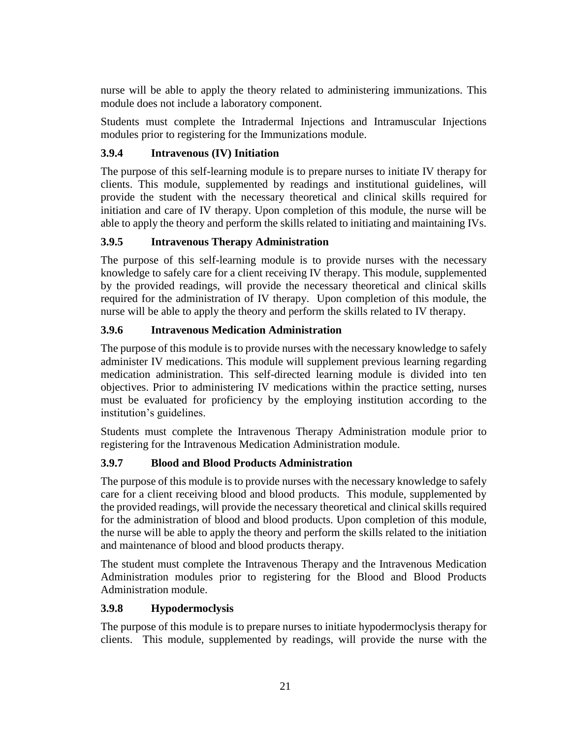nurse will be able to apply the theory related to administering immunizations. This module does not include a laboratory component.

Students must complete the Intradermal Injections and Intramuscular Injections modules prior to registering for the Immunizations module.

# **3.9.4 Intravenous (IV) Initiation**

The purpose of this self-learning module is to prepare nurses to initiate IV therapy for clients. This module, supplemented by readings and institutional guidelines, will provide the student with the necessary theoretical and clinical skills required for initiation and care of IV therapy. Upon completion of this module, the nurse will be able to apply the theory and perform the skills related to initiating and maintaining IVs.

# **3.9.5 Intravenous Therapy Administration**

The purpose of this self-learning module is to provide nurses with the necessary knowledge to safely care for a client receiving IV therapy. This module, supplemented by the provided readings, will provide the necessary theoretical and clinical skills required for the administration of IV therapy. Upon completion of this module, the nurse will be able to apply the theory and perform the skills related to IV therapy.

# **3.9.6 Intravenous Medication Administration**

The purpose of this module is to provide nurses with the necessary knowledge to safely administer IV medications. This module will supplement previous learning regarding medication administration. This self-directed learning module is divided into ten objectives. Prior to administering IV medications within the practice setting, nurses must be evaluated for proficiency by the employing institution according to the institution's guidelines.

Students must complete the Intravenous Therapy Administration module prior to registering for the Intravenous Medication Administration module.

# **3.9.7 Blood and Blood Products Administration**

The purpose of this module is to provide nurses with the necessary knowledge to safely care for a client receiving blood and blood products. This module, supplemented by the provided readings, will provide the necessary theoretical and clinical skills required for the administration of blood and blood products. Upon completion of this module, the nurse will be able to apply the theory and perform the skills related to the initiation and maintenance of blood and blood products therapy.

The student must complete the Intravenous Therapy and the Intravenous Medication Administration modules prior to registering for the Blood and Blood Products Administration module.

# **3.9.8 Hypodermoclysis**

The purpose of this module is to prepare nurses to initiate hypodermoclysis therapy for clients. This module, supplemented by readings, will provide the nurse with the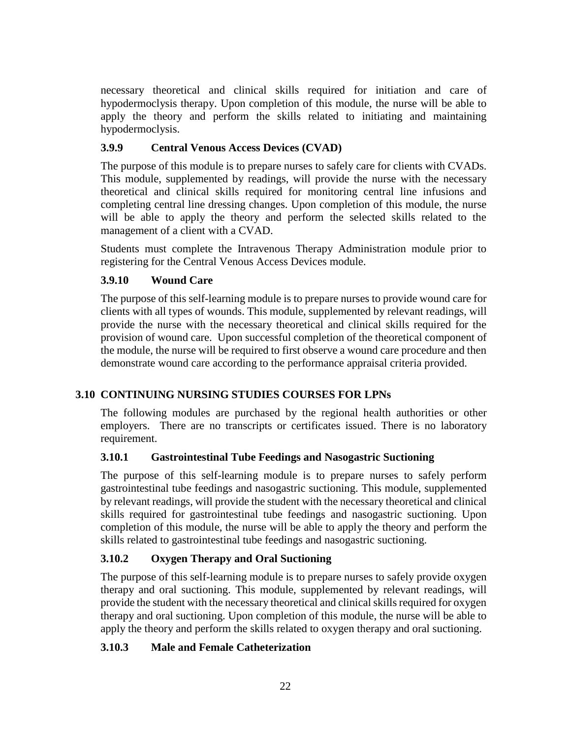necessary theoretical and clinical skills required for initiation and care of hypodermoclysis therapy. Upon completion of this module, the nurse will be able to apply the theory and perform the skills related to initiating and maintaining hypodermoclysis.

# **3.9.9 Central Venous Access Devices (CVAD)**

The purpose of this module is to prepare nurses to safely care for clients with CVADs. This module, supplemented by readings, will provide the nurse with the necessary theoretical and clinical skills required for monitoring central line infusions and completing central line dressing changes. Upon completion of this module, the nurse will be able to apply the theory and perform the selected skills related to the management of a client with a CVAD.

Students must complete the Intravenous Therapy Administration module prior to registering for the Central Venous Access Devices module.

# **3.9.10 Wound Care**

The purpose of this self-learning module is to prepare nurses to provide wound care for clients with all types of wounds. This module, supplemented by relevant readings, will provide the nurse with the necessary theoretical and clinical skills required for the provision of wound care. Upon successful completion of the theoretical component of the module, the nurse will be required to first observe a wound care procedure and then demonstrate wound care according to the performance appraisal criteria provided.

# **3.10 CONTINUING NURSING STUDIES COURSES FOR LPNs**

The following modules are purchased by the regional health authorities or other employers. There are no transcripts or certificates issued. There is no laboratory requirement.

# **3.10.1 Gastrointestinal Tube Feedings and Nasogastric Suctioning**

The purpose of this self-learning module is to prepare nurses to safely perform gastrointestinal tube feedings and nasogastric suctioning. This module, supplemented by relevant readings, will provide the student with the necessary theoretical and clinical skills required for gastrointestinal tube feedings and nasogastric suctioning. Upon completion of this module, the nurse will be able to apply the theory and perform the skills related to gastrointestinal tube feedings and nasogastric suctioning.

# **3.10.2 Oxygen Therapy and Oral Suctioning**

The purpose of this self-learning module is to prepare nurses to safely provide oxygen therapy and oral suctioning. This module, supplemented by relevant readings, will provide the student with the necessary theoretical and clinical skills required for oxygen therapy and oral suctioning. Upon completion of this module, the nurse will be able to apply the theory and perform the skills related to oxygen therapy and oral suctioning.

# **3.10.3 Male and Female Catheterization**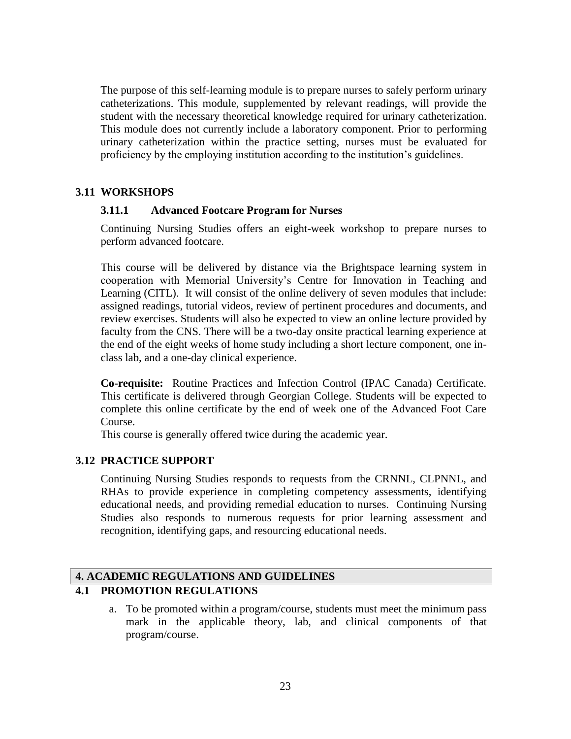The purpose of this self-learning module is to prepare nurses to safely perform urinary catheterizations. This module, supplemented by relevant readings, will provide the student with the necessary theoretical knowledge required for urinary catheterization. This module does not currently include a laboratory component. Prior to performing urinary catheterization within the practice setting, nurses must be evaluated for proficiency by the employing institution according to the institution's guidelines.

### **3.11 WORKSHOPS**

### **3.11.1 Advanced Footcare Program for Nurses**

Continuing Nursing Studies offers an eight-week workshop to prepare nurses to perform advanced footcare.

This course will be delivered by distance via the Brightspace learning system in cooperation with Memorial University's Centre for Innovation in Teaching and Learning (CITL). It will consist of the online delivery of seven modules that include: assigned readings, tutorial videos, review of pertinent procedures and documents, and review exercises. Students will also be expected to view an online lecture provided by faculty from the CNS. There will be a two-day onsite practical learning experience at the end of the eight weeks of home study including a short lecture component, one inclass lab, and a one-day clinical experience.

**Co-requisite:** Routine Practices and Infection Control (IPAC Canada) Certificate. This certificate is delivered through Georgian College. Students will be expected to complete this online certificate by the end of week one of the Advanced Foot Care Course.

This course is generally offered twice during the academic year.

### **3.12 PRACTICE SUPPORT**

Continuing Nursing Studies responds to requests from the CRNNL, CLPNNL, and RHAs to provide experience in completing competency assessments, identifying educational needs, and providing remedial education to nurses. Continuing Nursing Studies also responds to numerous requests for prior learning assessment and recognition, identifying gaps, and resourcing educational needs.

# **4. ACADEMIC REGULATIONS AND GUIDELINES 4.1 PROMOTION REGULATIONS**

a. To be promoted within a program/course, students must meet the minimum pass mark in the applicable theory, lab, and clinical components of that program/course.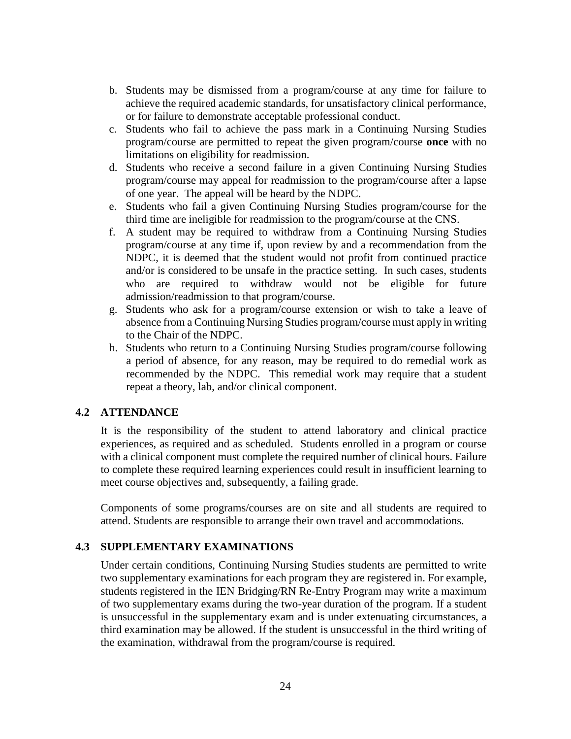- b. Students may be dismissed from a program/course at any time for failure to achieve the required academic standards, for unsatisfactory clinical performance, or for failure to demonstrate acceptable professional conduct.
- c. Students who fail to achieve the pass mark in a Continuing Nursing Studies program/course are permitted to repeat the given program/course **once** with no limitations on eligibility for readmission.
- d. Students who receive a second failure in a given Continuing Nursing Studies program/course may appeal for readmission to the program/course after a lapse of one year. The appeal will be heard by the NDPC.
- e. Students who fail a given Continuing Nursing Studies program/course for the third time are ineligible for readmission to the program/course at the CNS.
- f. A student may be required to withdraw from a Continuing Nursing Studies program/course at any time if, upon review by and a recommendation from the NDPC, it is deemed that the student would not profit from continued practice and/or is considered to be unsafe in the practice setting. In such cases, students who are required to withdraw would not be eligible for future admission/readmission to that program/course.
- g. Students who ask for a program/course extension or wish to take a leave of absence from a Continuing Nursing Studies program/course must apply in writing to the Chair of the NDPC.
- h. Students who return to a Continuing Nursing Studies program/course following a period of absence, for any reason, may be required to do remedial work as recommended by the NDPC. This remedial work may require that a student repeat a theory, lab, and/or clinical component.

### **4.2 ATTENDANCE**

It is the responsibility of the student to attend laboratory and clinical practice experiences, as required and as scheduled. Students enrolled in a program or course with a clinical component must complete the required number of clinical hours. Failure to complete these required learning experiences could result in insufficient learning to meet course objectives and, subsequently, a failing grade.

Components of some programs/courses are on site and all students are required to attend. Students are responsible to arrange their own travel and accommodations.

### **4.3 SUPPLEMENTARY EXAMINATIONS**

Under certain conditions, Continuing Nursing Studies students are permitted to write two supplementary examinations for each program they are registered in. For example, students registered in the IEN Bridging/RN Re-Entry Program may write a maximum of two supplementary exams during the two-year duration of the program. If a student is unsuccessful in the supplementary exam and is under extenuating circumstances, a third examination may be allowed. If the student is unsuccessful in the third writing of the examination, withdrawal from the program/course is required.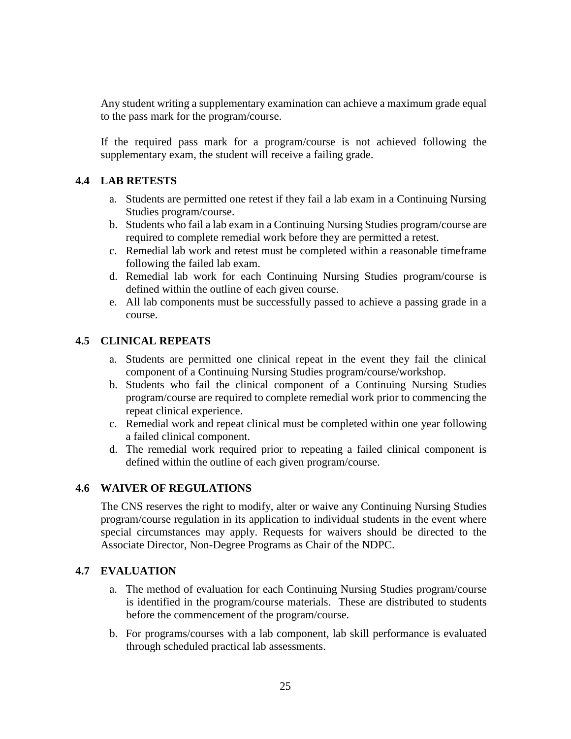Any student writing a supplementary examination can achieve a maximum grade equal to the pass mark for the program/course.

If the required pass mark for a program/course is not achieved following the supplementary exam, the student will receive a failing grade.

# **4.4 LAB RETESTS**

- a. Students are permitted one retest if they fail a lab exam in a Continuing Nursing Studies program/course.
- b. Students who fail a lab exam in a Continuing Nursing Studies program/course are required to complete remedial work before they are permitted a retest.
- c. Remedial lab work and retest must be completed within a reasonable timeframe following the failed lab exam.
- d. Remedial lab work for each Continuing Nursing Studies program/course is defined within the outline of each given course.
- e. All lab components must be successfully passed to achieve a passing grade in a course.

### **4.5 CLINICAL REPEATS**

- a. Students are permitted one clinical repeat in the event they fail the clinical component of a Continuing Nursing Studies program/course/workshop.
- b. Students who fail the clinical component of a Continuing Nursing Studies program/course are required to complete remedial work prior to commencing the repeat clinical experience.
- c. Remedial work and repeat clinical must be completed within one year following a failed clinical component.
- d. The remedial work required prior to repeating a failed clinical component is defined within the outline of each given program/course.

# **4.6 WAIVER OF REGULATIONS**

The CNS reserves the right to modify, alter or waive any Continuing Nursing Studies program/course regulation in its application to individual students in the event where special circumstances may apply. Requests for waivers should be directed to the Associate Director, Non-Degree Programs as Chair of the NDPC.

### **4.7 EVALUATION**

- a. The method of evaluation for each Continuing Nursing Studies program/course is identified in the program/course materials. These are distributed to students before the commencement of the program/course.
- b. For programs/courses with a lab component, lab skill performance is evaluated through scheduled practical lab assessments.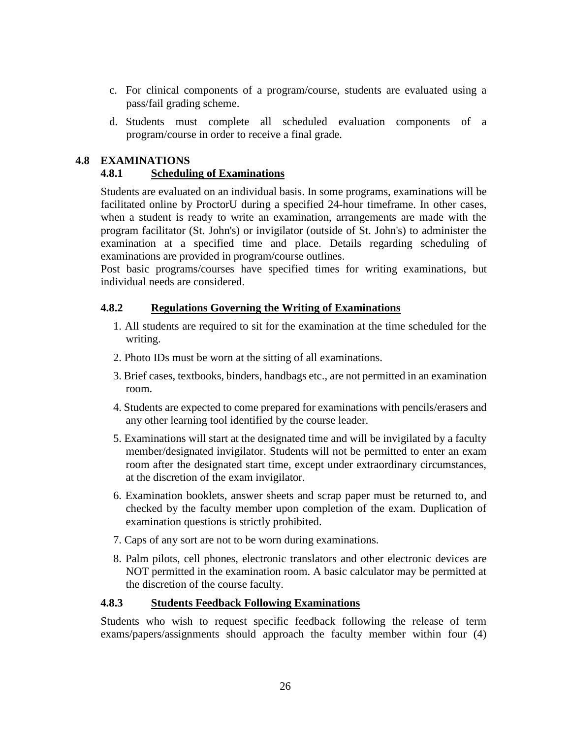- c. For clinical components of a program/course, students are evaluated using a pass/fail grading scheme.
- d. Students must complete all scheduled evaluation components of a program/course in order to receive a final grade.

# **4.8 EXAMINATIONS**

# **4.8.1 Scheduling of Examinations**

Students are evaluated on an individual basis. In some programs, examinations will be facilitated online by ProctorU during a specified 24-hour timeframe. In other cases, when a student is ready to write an examination, arrangements are made with the program facilitator (St. John's) or invigilator (outside of St. John's) to administer the examination at a specified time and place. Details regarding scheduling of examinations are provided in program/course outlines.

Post basic programs/courses have specified times for writing examinations, but individual needs are considered.

### **4.8.2 Regulations Governing the Writing of Examinations**

- 1. All students are required to sit for the examination at the time scheduled for the writing.
- 2. Photo IDs must be worn at the sitting of all examinations.
- 3. Brief cases, textbooks, binders, handbags etc., are not permitted in an examination room.
- 4. Students are expected to come prepared for examinations with pencils/erasers and any other learning tool identified by the course leader.
- 5. Examinations will start at the designated time and will be invigilated by a faculty member/designated invigilator. Students will not be permitted to enter an exam room after the designated start time, except under extraordinary circumstances, at the discretion of the exam invigilator.
- 6. Examination booklets, answer sheets and scrap paper must be returned to, and checked by the faculty member upon completion of the exam. Duplication of examination questions is strictly prohibited.
- 7. Caps of any sort are not to be worn during examinations.
- 8. Palm pilots, cell phones, electronic translators and other electronic devices are NOT permitted in the examination room. A basic calculator may be permitted at the discretion of the course faculty.

### **4.8.3 Students Feedback Following Examinations**

Students who wish to request specific feedback following the release of term exams/papers/assignments should approach the faculty member within four (4)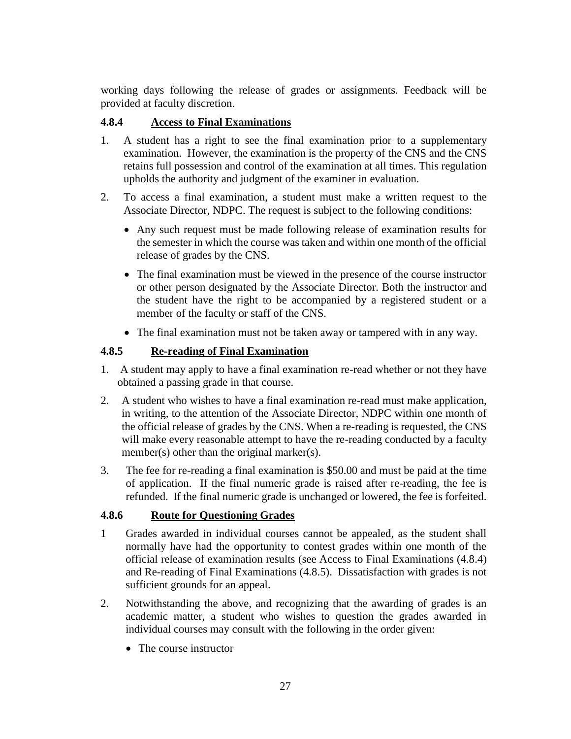working days following the release of grades or assignments. Feedback will be provided at faculty discretion.

# **4.8.4 Access to Final Examinations**

- 1. A student has a right to see the final examination prior to a supplementary examination. However, the examination is the property of the CNS and the CNS retains full possession and control of the examination at all times. This regulation upholds the authority and judgment of the examiner in evaluation.
- 2. To access a final examination, a student must make a written request to the Associate Director, NDPC. The request is subject to the following conditions:
	- Any such request must be made following release of examination results for the semester in which the course was taken and within one month of the official release of grades by the CNS.
	- The final examination must be viewed in the presence of the course instructor or other person designated by the Associate Director. Both the instructor and the student have the right to be accompanied by a registered student or a member of the faculty or staff of the CNS.
	- The final examination must not be taken away or tampered with in any way.

# **4.8.5 Re-reading of Final Examination**

- 1. A student may apply to have a final examination re-read whether or not they have obtained a passing grade in that course.
- 2. A student who wishes to have a final examination re-read must make application, in writing, to the attention of the Associate Director, NDPC within one month of the official release of grades by the CNS. When a re-reading is requested, the CNS will make every reasonable attempt to have the re-reading conducted by a faculty member(s) other than the original marker(s).
- 3. The fee for re-reading a final examination is \$50.00 and must be paid at the time of application. If the final numeric grade is raised after re-reading, the fee is refunded. If the final numeric grade is unchanged or lowered, the fee is forfeited.

# **4.8.6 Route for Questioning Grades**

- 1 Grades awarded in individual courses cannot be appealed, as the student shall normally have had the opportunity to contest grades within one month of the official release of examination results (see Access to Final Examinations (4.8.4) and Re-reading of Final Examinations (4.8.5). Dissatisfaction with grades is not sufficient grounds for an appeal.
- 2. Notwithstanding the above, and recognizing that the awarding of grades is an academic matter, a student who wishes to question the grades awarded in individual courses may consult with the following in the order given:
	- The course instructor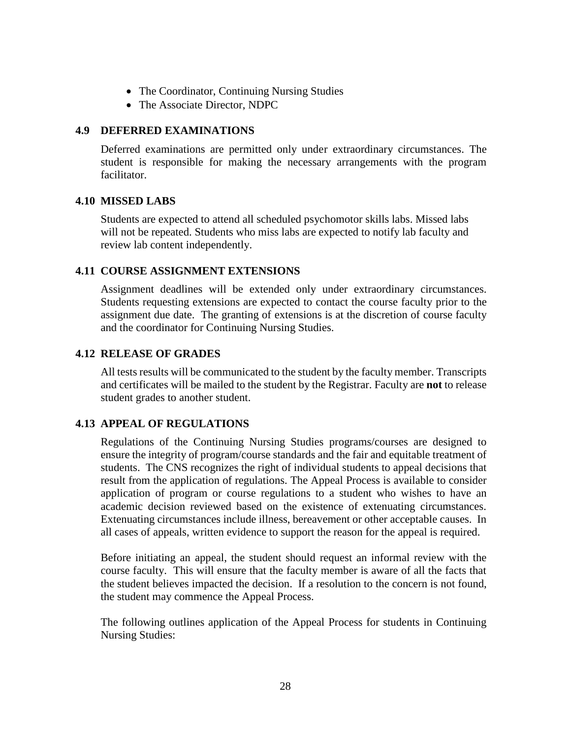- The Coordinator, Continuing Nursing Studies
- The Associate Director, NDPC

# **4.9 DEFERRED EXAMINATIONS**

Deferred examinations are permitted only under extraordinary circumstances. The student is responsible for making the necessary arrangements with the program facilitator.

### **4.10 MISSED LABS**

Students are expected to attend all scheduled psychomotor skills labs. Missed labs will not be repeated. Students who miss labs are expected to notify lab faculty and review lab content independently.

# **4.11 COURSE ASSIGNMENT EXTENSIONS**

Assignment deadlines will be extended only under extraordinary circumstances. Students requesting extensions are expected to contact the course faculty prior to the assignment due date. The granting of extensions is at the discretion of course faculty and the coordinator for Continuing Nursing Studies.

# **4.12 RELEASE OF GRADES**

All tests results will be communicated to the student by the faculty member. Transcripts and certificates will be mailed to the student by the Registrar. Faculty are **not** to release student grades to another student.

# **4.13 APPEAL OF REGULATIONS**

Regulations of the Continuing Nursing Studies programs/courses are designed to ensure the integrity of program/course standards and the fair and equitable treatment of students. The CNS recognizes the right of individual students to appeal decisions that result from the application of regulations. The Appeal Process is available to consider application of program or course regulations to a student who wishes to have an academic decision reviewed based on the existence of extenuating circumstances. Extenuating circumstances include illness, bereavement or other acceptable causes. In all cases of appeals, written evidence to support the reason for the appeal is required.

Before initiating an appeal, the student should request an informal review with the course faculty. This will ensure that the faculty member is aware of all the facts that the student believes impacted the decision. If a resolution to the concern is not found, the student may commence the Appeal Process.

The following outlines application of the Appeal Process for students in Continuing Nursing Studies: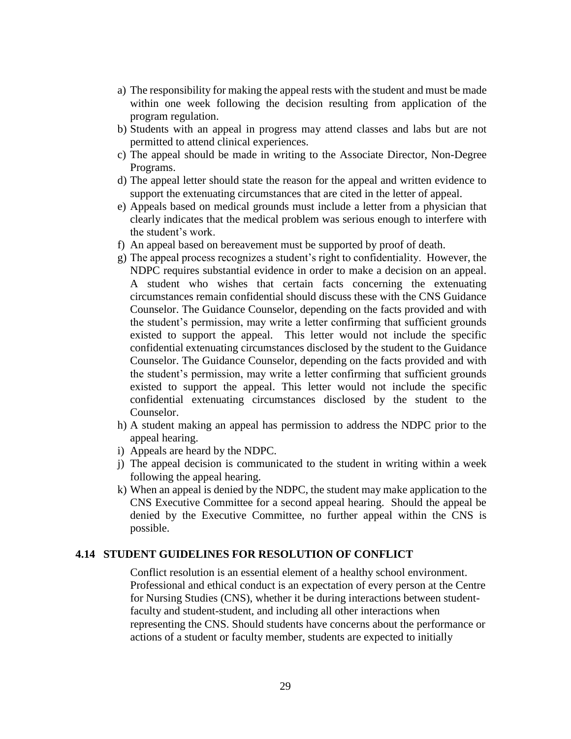- a) The responsibility for making the appeal rests with the student and must be made within one week following the decision resulting from application of the program regulation.
- b) Students with an appeal in progress may attend classes and labs but are not permitted to attend clinical experiences.
- c) The appeal should be made in writing to the Associate Director, Non-Degree Programs.
- d) The appeal letter should state the reason for the appeal and written evidence to support the extenuating circumstances that are cited in the letter of appeal.
- e) Appeals based on medical grounds must include a letter from a physician that clearly indicates that the medical problem was serious enough to interfere with the student's work.
- f) An appeal based on bereavement must be supported by proof of death.
- g) The appeal process recognizes a student's right to confidentiality. However, the NDPC requires substantial evidence in order to make a decision on an appeal. A student who wishes that certain facts concerning the extenuating circumstances remain confidential should discuss these with the CNS Guidance Counselor. The Guidance Counselor, depending on the facts provided and with the student's permission, may write a letter confirming that sufficient grounds existed to support the appeal. This letter would not include the specific confidential extenuating circumstances disclosed by the student to the Guidance Counselor. The Guidance Counselor, depending on the facts provided and with the student's permission, may write a letter confirming that sufficient grounds existed to support the appeal. This letter would not include the specific confidential extenuating circumstances disclosed by the student to the Counselor.
- h) A student making an appeal has permission to address the NDPC prior to the appeal hearing.
- i) Appeals are heard by the NDPC.
- j) The appeal decision is communicated to the student in writing within a week following the appeal hearing.
- k) When an appeal is denied by the NDPC, the student may make application to the CNS Executive Committee for a second appeal hearing. Should the appeal be denied by the Executive Committee, no further appeal within the CNS is possible.

### **4.14 STUDENT GUIDELINES FOR RESOLUTION OF CONFLICT**

Conflict resolution is an essential element of a healthy school environment. Professional and ethical conduct is an expectation of every person at the Centre for Nursing Studies (CNS), whether it be during interactions between studentfaculty and student-student, and including all other interactions when representing the CNS. Should students have concerns about the performance or actions of a student or faculty member, students are expected to initially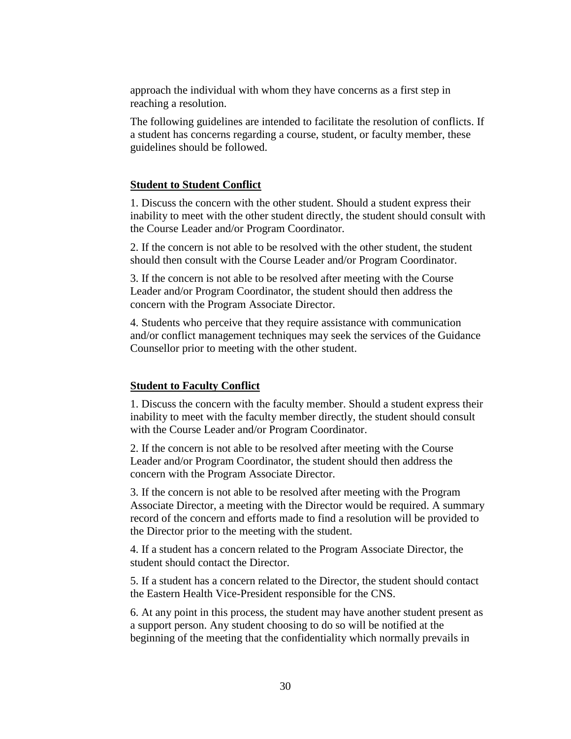approach the individual with whom they have concerns as a first step in reaching a resolution.

The following guidelines are intended to facilitate the resolution of conflicts. If a student has concerns regarding a course, student, or faculty member, these guidelines should be followed.

#### **Student to Student Conflict**

1. Discuss the concern with the other student. Should a student express their inability to meet with the other student directly, the student should consult with the Course Leader and/or Program Coordinator.

2. If the concern is not able to be resolved with the other student, the student should then consult with the Course Leader and/or Program Coordinator.

3. If the concern is not able to be resolved after meeting with the Course Leader and/or Program Coordinator, the student should then address the concern with the Program Associate Director.

4. Students who perceive that they require assistance with communication and/or conflict management techniques may seek the services of the Guidance Counsellor prior to meeting with the other student.

### **Student to Faculty Conflict**

1. Discuss the concern with the faculty member. Should a student express their inability to meet with the faculty member directly, the student should consult with the Course Leader and/or Program Coordinator.

2. If the concern is not able to be resolved after meeting with the Course Leader and/or Program Coordinator, the student should then address the concern with the Program Associate Director.

3. If the concern is not able to be resolved after meeting with the Program Associate Director, a meeting with the Director would be required. A summary record of the concern and efforts made to find a resolution will be provided to the Director prior to the meeting with the student.

4. If a student has a concern related to the Program Associate Director, the student should contact the Director.

5. If a student has a concern related to the Director, the student should contact the Eastern Health Vice-President responsible for the CNS.

6. At any point in this process, the student may have another student present as a support person. Any student choosing to do so will be notified at the beginning of the meeting that the confidentiality which normally prevails in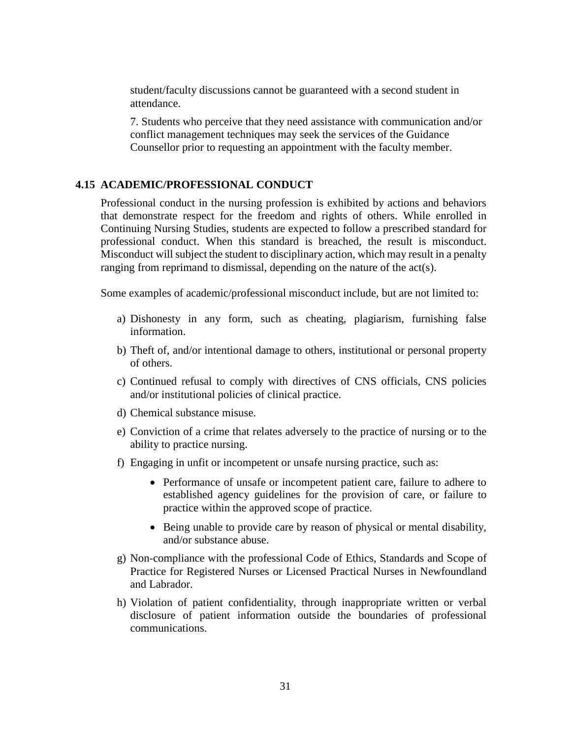student/faculty discussions cannot be guaranteed with a second student in attendance.

7. Students who perceive that they need assistance with communication and/or conflict management techniques may seek the services of the Guidance Counsellor prior to requesting an appointment with the faculty member.

### **4.15 ACADEMIC/PROFESSIONAL CONDUCT**

Professional conduct in the nursing profession is exhibited by actions and behaviors that demonstrate respect for the freedom and rights of others. While enrolled in Continuing Nursing Studies, students are expected to follow a prescribed standard for professional conduct. When this standard is breached, the result is misconduct. Misconduct will subject the student to disciplinary action, which may result in a penalty ranging from reprimand to dismissal, depending on the nature of the act(s).

Some examples of academic/professional misconduct include, but are not limited to:

- a) Dishonesty in any form, such as cheating, plagiarism, furnishing false information.
- b) Theft of, and/or intentional damage to others, institutional or personal property of others.
- c) Continued refusal to comply with directives of CNS officials, CNS policies and/or institutional policies of clinical practice.
- d) Chemical substance misuse.
- e) Conviction of a crime that relates adversely to the practice of nursing or to the ability to practice nursing.
- f) Engaging in unfit or incompetent or unsafe nursing practice, such as:
	- Performance of unsafe or incompetent patient care, failure to adhere to established agency guidelines for the provision of care, or failure to practice within the approved scope of practice.
	- Being unable to provide care by reason of physical or mental disability, and/or substance abuse.
- g) Non-compliance with the professional Code of Ethics, Standards and Scope of Practice for Registered Nurses or Licensed Practical Nurses in Newfoundland and Labrador.
- h) Violation of patient confidentiality, through inappropriate written or verbal disclosure of patient information outside the boundaries of professional communications.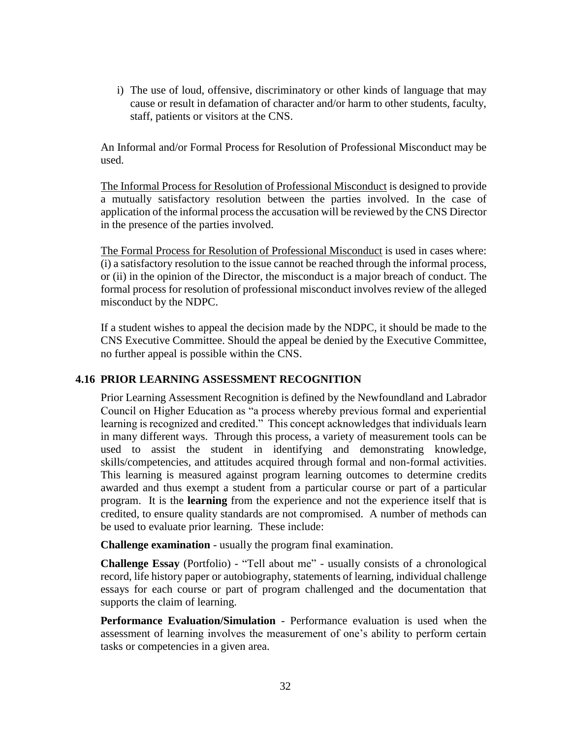i) The use of loud, offensive, discriminatory or other kinds of language that may cause or result in defamation of character and/or harm to other students, faculty, staff, patients or visitors at the CNS.

An Informal and/or Formal Process for Resolution of Professional Misconduct may be used.

The Informal Process for Resolution of Professional Misconduct is designed to provide a mutually satisfactory resolution between the parties involved. In the case of application of the informal process the accusation will be reviewed by the CNS Director in the presence of the parties involved.

The Formal Process for Resolution of Professional Misconduct is used in cases where: (i) a satisfactory resolution to the issue cannot be reached through the informal process, or (ii) in the opinion of the Director, the misconduct is a major breach of conduct. The formal process for resolution of professional misconduct involves review of the alleged misconduct by the NDPC.

If a student wishes to appeal the decision made by the NDPC, it should be made to the CNS Executive Committee. Should the appeal be denied by the Executive Committee, no further appeal is possible within the CNS.

# **4.16 PRIOR LEARNING ASSESSMENT RECOGNITION**

Prior Learning Assessment Recognition is defined by the Newfoundland and Labrador Council on Higher Education as "a process whereby previous formal and experiential learning is recognized and credited." This concept acknowledges that individuals learn in many different ways. Through this process, a variety of measurement tools can be used to assist the student in identifying and demonstrating knowledge, skills/competencies, and attitudes acquired through formal and non-formal activities. This learning is measured against program learning outcomes to determine credits awarded and thus exempt a student from a particular course or part of a particular program. It is the **learning** from the experience and not the experience itself that is credited, to ensure quality standards are not compromised. A number of methods can be used to evaluate prior learning. These include:

**Challenge examination** - usually the program final examination.

**Challenge Essay** (Portfolio) - "Tell about me" - usually consists of a chronological record, life history paper or autobiography, statements of learning, individual challenge essays for each course or part of program challenged and the documentation that supports the claim of learning.

**Performance Evaluation/Simulation** - Performance evaluation is used when the assessment of learning involves the measurement of one's ability to perform certain tasks or competencies in a given area.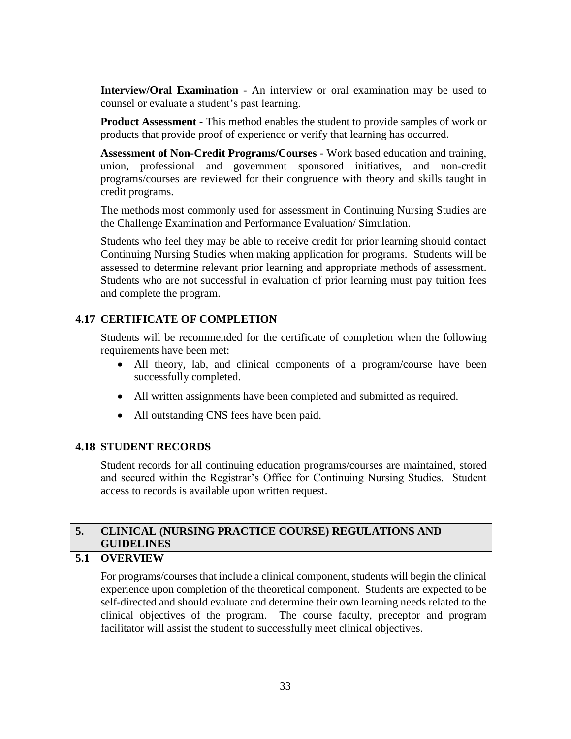**Interview/Oral Examination** - An interview or oral examination may be used to counsel or evaluate a student's past learning.

**Product Assessment** - This method enables the student to provide samples of work or products that provide proof of experience or verify that learning has occurred.

**Assessment of Non-Credit Programs/Courses** - Work based education and training, union, professional and government sponsored initiatives, and non-credit programs/courses are reviewed for their congruence with theory and skills taught in credit programs.

The methods most commonly used for assessment in Continuing Nursing Studies are the Challenge Examination and Performance Evaluation/ Simulation.

Students who feel they may be able to receive credit for prior learning should contact Continuing Nursing Studies when making application for programs. Students will be assessed to determine relevant prior learning and appropriate methods of assessment. Students who are not successful in evaluation of prior learning must pay tuition fees and complete the program.

# **4.17 CERTIFICATE OF COMPLETION**

Students will be recommended for the certificate of completion when the following requirements have been met:

- All theory, lab, and clinical components of a program/course have been successfully completed.
- All written assignments have been completed and submitted as required.
- All outstanding CNS fees have been paid.

# **4.18 STUDENT RECORDS**

Student records for all continuing education programs/courses are maintained, stored and secured within the Registrar's Office for Continuing Nursing Studies. Student access to records is available upon written request.

# **5. CLINICAL (NURSING PRACTICE COURSE) REGULATIONS AND GUIDELINES**

# **5.1 OVERVIEW**

For programs/courses that include a clinical component, students will begin the clinical experience upon completion of the theoretical component. Students are expected to be self-directed and should evaluate and determine their own learning needs related to the clinical objectives of the program. The course faculty, preceptor and program facilitator will assist the student to successfully meet clinical objectives.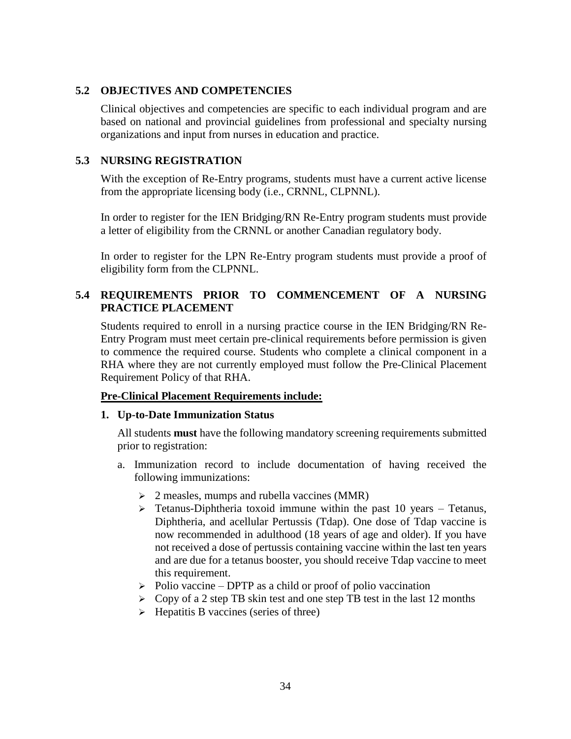# **5.2 OBJECTIVES AND COMPETENCIES**

Clinical objectives and competencies are specific to each individual program and are based on national and provincial guidelines from professional and specialty nursing organizations and input from nurses in education and practice.

# **5.3 NURSING REGISTRATION**

With the exception of Re-Entry programs, students must have a current active license from the appropriate licensing body (i.e., CRNNL, CLPNNL).

In order to register for the IEN Bridging/RN Re-Entry program students must provide a letter of eligibility from the CRNNL or another Canadian regulatory body.

In order to register for the LPN Re-Entry program students must provide a proof of eligibility form from the CLPNNL.

# **5.4 REQUIREMENTS PRIOR TO COMMENCEMENT OF A NURSING PRACTICE PLACEMENT**

Students required to enroll in a nursing practice course in the IEN Bridging/RN Re-Entry Program must meet certain pre-clinical requirements before permission is given to commence the required course. Students who complete a clinical component in a RHA where they are not currently employed must follow the Pre-Clinical Placement Requirement Policy of that RHA.

# **Pre-Clinical Placement Requirements include:**

### **1. Up-to-Date Immunization Status**

All students **must** have the following mandatory screening requirements submitted prior to registration:

- a. Immunization record to include documentation of having received the following immunizations:
	- $\geq$  2 measles, mumps and rubella vaccines (MMR)
	- $\triangleright$  Tetanus-Diphtheria toxoid immune within the past 10 years Tetanus, Diphtheria, and acellular Pertussis (Tdap). One dose of Tdap vaccine is now recommended in adulthood (18 years of age and older). If you have not received a dose of pertussis containing vaccine within the last ten years and are due for a tetanus booster, you should receive Tdap vaccine to meet this requirement.
	- $\triangleright$  Polio vaccine DPTP as a child or proof of polio vaccination
	- $\triangleright$  Copy of a 2 step TB skin test and one step TB test in the last 12 months
	- $\triangleright$  Hepatitis B vaccines (series of three)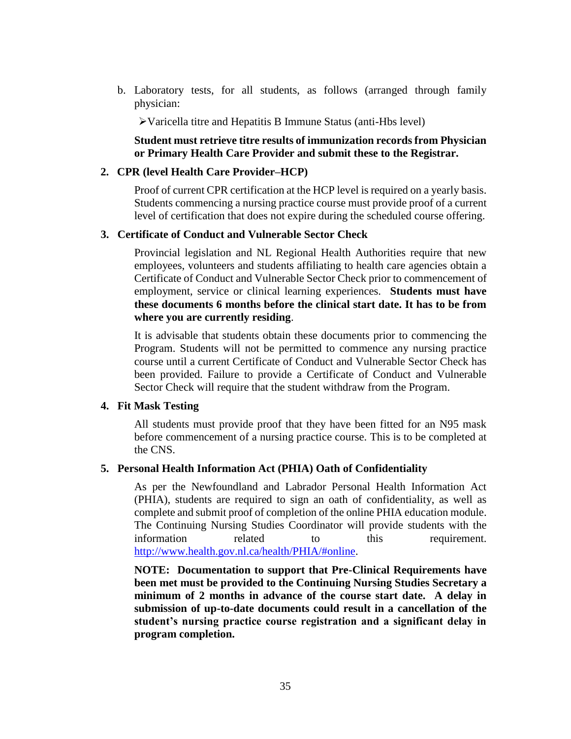b. Laboratory tests, for all students, as follows (arranged through family physician:

Varicella titre and Hepatitis B Immune Status (anti-Hbs level)

# **Student must retrieve titre results of immunization records from Physician or Primary Health Care Provider and submit these to the Registrar.**

### **2. CPR (level Health Care Provider–HCP)**

Proof of current CPR certification at the HCP level is required on a yearly basis. Students commencing a nursing practice course must provide proof of a current level of certification that does not expire during the scheduled course offering.

### **3. Certificate of Conduct and Vulnerable Sector Check**

Provincial legislation and NL Regional Health Authorities require that new employees, volunteers and students affiliating to health care agencies obtain a Certificate of Conduct and Vulnerable Sector Check prior to commencement of employment, service or clinical learning experiences. **Students must have these documents 6 months before the clinical start date. It has to be from where you are currently residing**.

It is advisable that students obtain these documents prior to commencing the Program. Students will not be permitted to commence any nursing practice course until a current Certificate of Conduct and Vulnerable Sector Check has been provided. Failure to provide a Certificate of Conduct and Vulnerable Sector Check will require that the student withdraw from the Program.

### **4. Fit Mask Testing**

All students must provide proof that they have been fitted for an N95 mask before commencement of a nursing practice course. This is to be completed at the CNS.

### **5. Personal Health Information Act (PHIA) Oath of Confidentiality**

As per the Newfoundland and Labrador Personal Health Information Act (PHIA), students are required to sign an oath of confidentiality, as well as complete and submit proof of completion of the online PHIA education module. The Continuing Nursing Studies Coordinator will provide students with the information related to this requirement. [http://www.health.gov.nl.ca/health/PHIA/#online.](http://www.health.gov.nl.ca/health/PHIA/#online)

**NOTE: Documentation to support that Pre-Clinical Requirements have been met must be provided to the Continuing Nursing Studies Secretary a minimum of 2 months in advance of the course start date. A delay in submission of up-to-date documents could result in a cancellation of the student's nursing practice course registration and a significant delay in program completion.**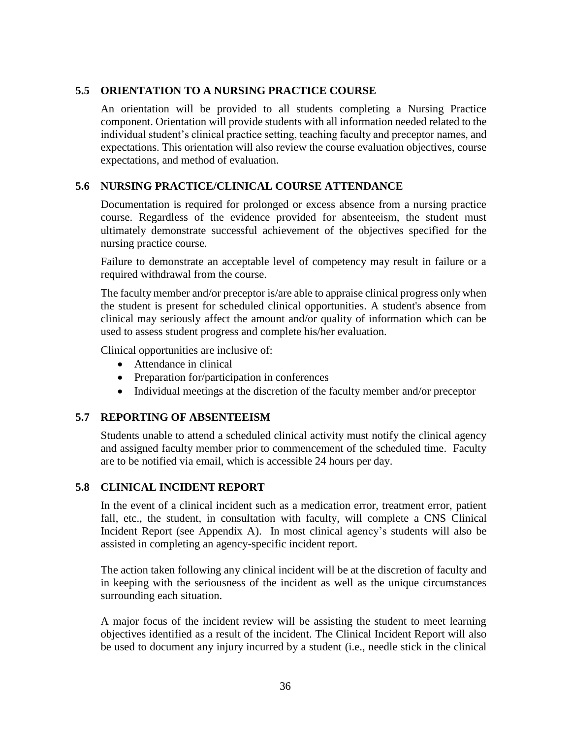# **5.5 ORIENTATION TO A NURSING PRACTICE COURSE**

An orientation will be provided to all students completing a Nursing Practice component. Orientation will provide students with all information needed related to the individual student's clinical practice setting, teaching faculty and preceptor names, and expectations. This orientation will also review the course evaluation objectives, course expectations, and method of evaluation.

# **5.6 NURSING PRACTICE/CLINICAL COURSE ATTENDANCE**

Documentation is required for prolonged or excess absence from a nursing practice course. Regardless of the evidence provided for absenteeism, the student must ultimately demonstrate successful achievement of the objectives specified for the nursing practice course.

Failure to demonstrate an acceptable level of competency may result in failure or a required withdrawal from the course.

The faculty member and/or preceptor is/are able to appraise clinical progress only when the student is present for scheduled clinical opportunities. A student's absence from clinical may seriously affect the amount and/or quality of information which can be used to assess student progress and complete his/her evaluation.

Clinical opportunities are inclusive of:

- Attendance in clinical
- Preparation for/participation in conferences
- Individual meetings at the discretion of the faculty member and/or preceptor

### **5.7 REPORTING OF ABSENTEEISM**

Students unable to attend a scheduled clinical activity must notify the clinical agency and assigned faculty member prior to commencement of the scheduled time. Faculty are to be notified via email, which is accessible 24 hours per day.

### **5.8 CLINICAL INCIDENT REPORT**

In the event of a clinical incident such as a medication error, treatment error, patient fall, etc., the student, in consultation with faculty, will complete a CNS Clinical Incident Report (see Appendix A). In most clinical agency's students will also be assisted in completing an agency-specific incident report.

The action taken following any clinical incident will be at the discretion of faculty and in keeping with the seriousness of the incident as well as the unique circumstances surrounding each situation.

A major focus of the incident review will be assisting the student to meet learning objectives identified as a result of the incident. The Clinical Incident Report will also be used to document any injury incurred by a student (i.e., needle stick in the clinical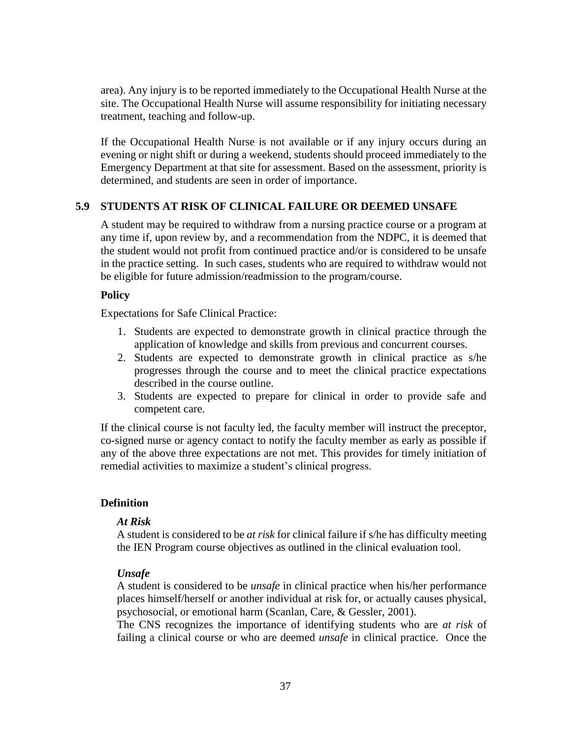area). Any injury is to be reported immediately to the Occupational Health Nurse at the site. The Occupational Health Nurse will assume responsibility for initiating necessary treatment, teaching and follow-up.

If the Occupational Health Nurse is not available or if any injury occurs during an evening or night shift or during a weekend, students should proceed immediately to the Emergency Department at that site for assessment. Based on the assessment, priority is determined, and students are seen in order of importance.

### **5.9 STUDENTS AT RISK OF CLINICAL FAILURE OR DEEMED UNSAFE**

A student may be required to withdraw from a nursing practice course or a program at any time if, upon review by, and a recommendation from the NDPC, it is deemed that the student would not profit from continued practice and/or is considered to be unsafe in the practice setting. In such cases, students who are required to withdraw would not be eligible for future admission/readmission to the program/course.

### **Policy**

Expectations for Safe Clinical Practice:

- 1. Students are expected to demonstrate growth in clinical practice through the application of knowledge and skills from previous and concurrent courses.
- 2. Students are expected to demonstrate growth in clinical practice as s/he progresses through the course and to meet the clinical practice expectations described in the course outline.
- 3. Students are expected to prepare for clinical in order to provide safe and competent care.

If the clinical course is not faculty led, the faculty member will instruct the preceptor, co-signed nurse or agency contact to notify the faculty member as early as possible if any of the above three expectations are not met. This provides for timely initiation of remedial activities to maximize a student's clinical progress.

### **Definition**

#### *At Risk*

A student is considered to be *at risk* for clinical failure if s/he has difficulty meeting the IEN Program course objectives as outlined in the clinical evaluation tool.

#### *Unsafe*

A student is considered to be *unsafe* in clinical practice when his/her performance places himself/herself or another individual at risk for, or actually causes physical, psychosocial, or emotional harm (Scanlan, Care, & Gessler, 2001).

The CNS recognizes the importance of identifying students who are *at risk* of failing a clinical course or who are deemed *unsafe* in clinical practice. Once the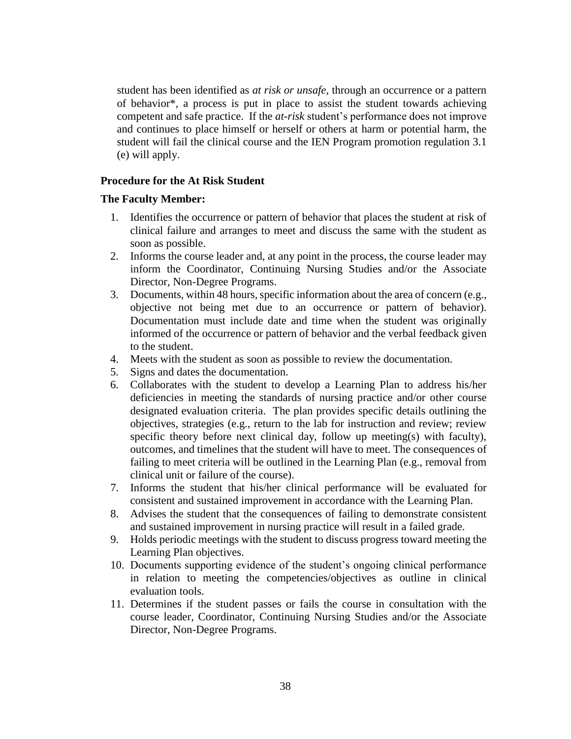student has been identified as *at risk or unsafe*, through an occurrence or a pattern of behavior\*, a process is put in place to assist the student towards achieving competent and safe practice. If the *at-risk* student's performance does not improve and continues to place himself or herself or others at harm or potential harm, the student will fail the clinical course and the IEN Program promotion regulation 3.1 (e) will apply.

### **Procedure for the At Risk Student**

### **The Faculty Member:**

- 1. Identifies the occurrence or pattern of behavior that places the student at risk of clinical failure and arranges to meet and discuss the same with the student as soon as possible.
- 2. Informs the course leader and, at any point in the process, the course leader may inform the Coordinator, Continuing Nursing Studies and/or the Associate Director, Non-Degree Programs.
- 3. Documents, within 48 hours, specific information about the area of concern (e.g., objective not being met due to an occurrence or pattern of behavior). Documentation must include date and time when the student was originally informed of the occurrence or pattern of behavior and the verbal feedback given to the student.
- 4. Meets with the student as soon as possible to review the documentation.
- 5. Signs and dates the documentation.
- 6. Collaborates with the student to develop a Learning Plan to address his/her deficiencies in meeting the standards of nursing practice and/or other course designated evaluation criteria. The plan provides specific details outlining the objectives, strategies (e.g., return to the lab for instruction and review; review specific theory before next clinical day, follow up meeting(s) with faculty), outcomes, and timelines that the student will have to meet. The consequences of failing to meet criteria will be outlined in the Learning Plan (e.g., removal from clinical unit or failure of the course).
- 7. Informs the student that his/her clinical performance will be evaluated for consistent and sustained improvement in accordance with the Learning Plan.
- 8. Advises the student that the consequences of failing to demonstrate consistent and sustained improvement in nursing practice will result in a failed grade.
- 9. Holds periodic meetings with the student to discuss progress toward meeting the Learning Plan objectives.
- 10. Documents supporting evidence of the student's ongoing clinical performance in relation to meeting the competencies/objectives as outline in clinical evaluation tools.
- 11. Determines if the student passes or fails the course in consultation with the course leader, Coordinator, Continuing Nursing Studies and/or the Associate Director, Non-Degree Programs.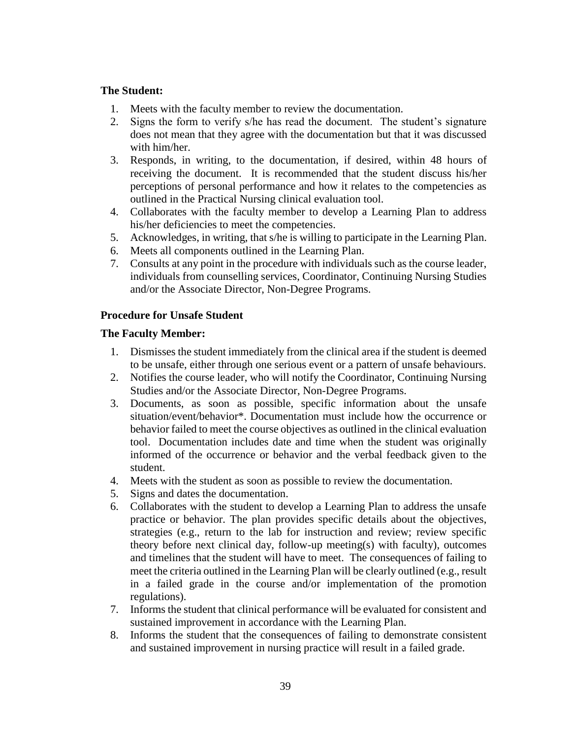### **The Student:**

- 1. Meets with the faculty member to review the documentation.
- 2. Signs the form to verify s/he has read the document. The student's signature does not mean that they agree with the documentation but that it was discussed with him/her.
- 3. Responds, in writing, to the documentation, if desired, within 48 hours of receiving the document. It is recommended that the student discuss his/her perceptions of personal performance and how it relates to the competencies as outlined in the Practical Nursing clinical evaluation tool.
- 4. Collaborates with the faculty member to develop a Learning Plan to address his/her deficiencies to meet the competencies.
- 5. Acknowledges, in writing, that s/he is willing to participate in the Learning Plan.
- 6. Meets all components outlined in the Learning Plan.
- 7. Consults at any point in the procedure with individuals such as the course leader, individuals from counselling services, Coordinator, Continuing Nursing Studies and/or the Associate Director, Non-Degree Programs.

# **Procedure for Unsafe Student**

### **The Faculty Member:**

- 1. Dismisses the student immediately from the clinical area if the student is deemed to be unsafe, either through one serious event or a pattern of unsafe behaviours.
- 2. Notifies the course leader, who will notify the Coordinator, Continuing Nursing Studies and/or the Associate Director, Non-Degree Programs.
- 3. Documents, as soon as possible, specific information about the unsafe situation/event/behavior\*. Documentation must include how the occurrence or behavior failed to meet the course objectives as outlined in the clinical evaluation tool. Documentation includes date and time when the student was originally informed of the occurrence or behavior and the verbal feedback given to the student.
- 4. Meets with the student as soon as possible to review the documentation.
- 5. Signs and dates the documentation.
- 6. Collaborates with the student to develop a Learning Plan to address the unsafe practice or behavior. The plan provides specific details about the objectives, strategies (e.g., return to the lab for instruction and review; review specific theory before next clinical day, follow-up meeting(s) with faculty), outcomes and timelines that the student will have to meet. The consequences of failing to meet the criteria outlined in the Learning Plan will be clearly outlined (e.g., result in a failed grade in the course and/or implementation of the promotion regulations).
- 7. Informs the student that clinical performance will be evaluated for consistent and sustained improvement in accordance with the Learning Plan.
- 8. Informs the student that the consequences of failing to demonstrate consistent and sustained improvement in nursing practice will result in a failed grade.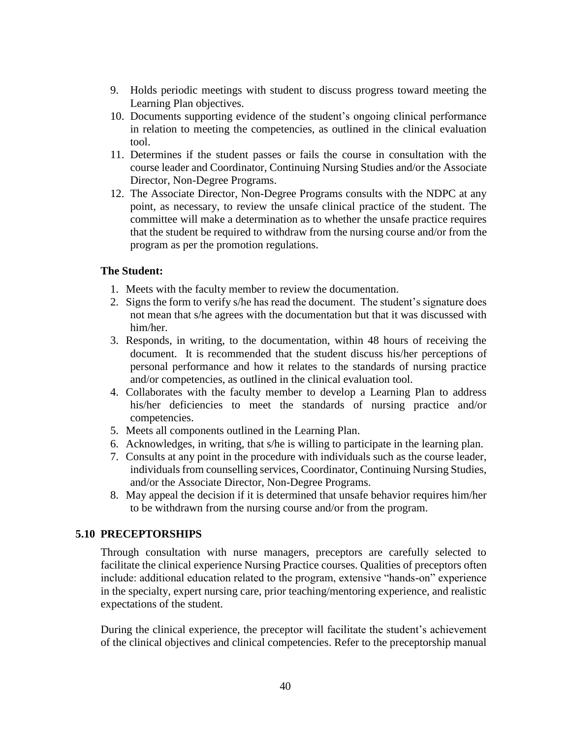- 9. Holds periodic meetings with student to discuss progress toward meeting the Learning Plan objectives.
- 10. Documents supporting evidence of the student's ongoing clinical performance in relation to meeting the competencies, as outlined in the clinical evaluation tool.
- 11. Determines if the student passes or fails the course in consultation with the course leader and Coordinator, Continuing Nursing Studies and/or the Associate Director, Non-Degree Programs.
- 12. The Associate Director, Non-Degree Programs consults with the NDPC at any point, as necessary, to review the unsafe clinical practice of the student. The committee will make a determination as to whether the unsafe practice requires that the student be required to withdraw from the nursing course and/or from the program as per the promotion regulations.

### **The Student:**

- 1. Meets with the faculty member to review the documentation.
- 2. Signs the form to verify s/he has read the document. The student's signature does not mean that s/he agrees with the documentation but that it was discussed with him/her.
- 3. Responds, in writing, to the documentation, within 48 hours of receiving the document. It is recommended that the student discuss his/her perceptions of personal performance and how it relates to the standards of nursing practice and/or competencies, as outlined in the clinical evaluation tool.
- 4. Collaborates with the faculty member to develop a Learning Plan to address his/her deficiencies to meet the standards of nursing practice and/or competencies.
- 5. Meets all components outlined in the Learning Plan.
- 6. Acknowledges, in writing, that s/he is willing to participate in the learning plan.
- 7. Consults at any point in the procedure with individuals such as the course leader, individuals from counselling services, Coordinator, Continuing Nursing Studies, and/or the Associate Director, Non-Degree Programs.
- 8. May appeal the decision if it is determined that unsafe behavior requires him/her to be withdrawn from the nursing course and/or from the program.

# **5.10 PRECEPTORSHIPS**

Through consultation with nurse managers, preceptors are carefully selected to facilitate the clinical experience Nursing Practice courses. Qualities of preceptors often include: additional education related to the program, extensive "hands-on" experience in the specialty, expert nursing care, prior teaching/mentoring experience, and realistic expectations of the student.

During the clinical experience, the preceptor will facilitate the student's achievement of the clinical objectives and clinical competencies. Refer to the preceptorship manual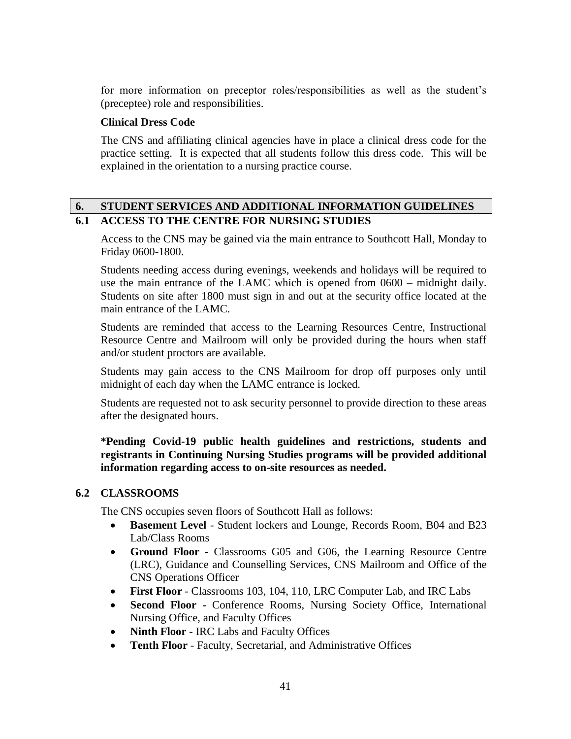for more information on preceptor roles/responsibilities as well as the student's (preceptee) role and responsibilities.

### **Clinical Dress Code**

The CNS and affiliating clinical agencies have in place a clinical dress code for the practice setting. It is expected that all students follow this dress code. This will be explained in the orientation to a nursing practice course.

# **6. STUDENT SERVICES AND ADDITIONAL INFORMATION GUIDELINES 6.1 ACCESS TO THE CENTRE FOR NURSING STUDIES**

Access to the CNS may be gained via the main entrance to Southcott Hall, Monday to Friday 0600-1800.

Students needing access during evenings, weekends and holidays will be required to use the main entrance of the LAMC which is opened from 0600 – midnight daily. Students on site after 1800 must sign in and out at the security office located at the main entrance of the LAMC.

Students are reminded that access to the Learning Resources Centre, Instructional Resource Centre and Mailroom will only be provided during the hours when staff and/or student proctors are available.

Students may gain access to the CNS Mailroom for drop off purposes only until midnight of each day when the LAMC entrance is locked.

Students are requested not to ask security personnel to provide direction to these areas after the designated hours.

**\*Pending Covid-19 public health guidelines and restrictions, students and registrants in Continuing Nursing Studies programs will be provided additional information regarding access to on-site resources as needed.**

### **6.2 CLASSROOMS**

The CNS occupies seven floors of Southcott Hall as follows:

- **Basement Level** Student lockers and Lounge, Records Room, B04 and B23 Lab/Class Rooms
- **Ground Floor** Classrooms G05 and G06, the Learning Resource Centre (LRC), Guidance and Counselling Services, CNS Mailroom and Office of the CNS Operations Officer
- **First Floor** Classrooms 103, 104, 110, LRC Computer Lab, and IRC Labs
- **Second Floor -** Conference Rooms, Nursing Society Office, International Nursing Office, and Faculty Offices
- **Ninth Floor** IRC Labs and Faculty Offices
- **Tenth Floor** Faculty, Secretarial, and Administrative Offices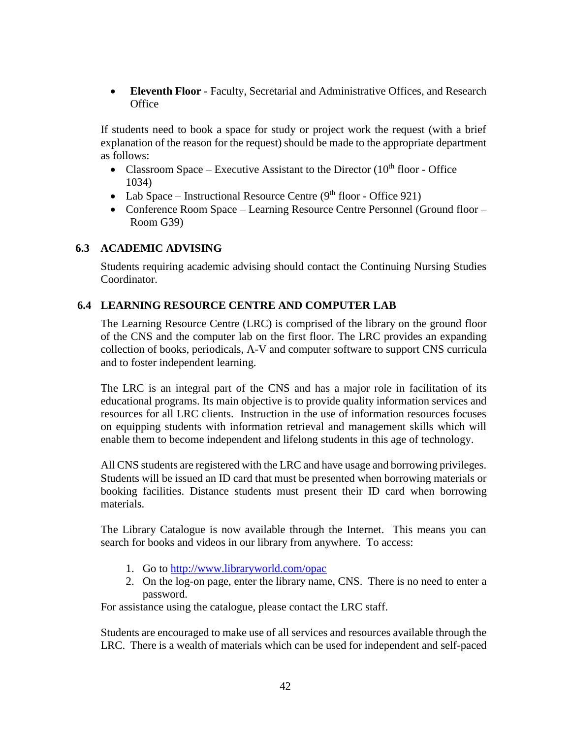**Eleventh Floor** - Faculty, Secretarial and Administrative Offices, and Research **Office** 

If students need to book a space for study or project work the request (with a brief explanation of the reason for the request) should be made to the appropriate department as follows:

- Classroom Space Executive Assistant to the Director  $(10<sup>th</sup>$  floor Office 1034)
- Lab Space Instructional Resource Centre  $(9<sup>th</sup>$  floor Office 921)
- Conference Room Space Learning Resource Centre Personnel (Ground floor Room G39)

### **6.3 ACADEMIC ADVISING**

Students requiring academic advising should contact the Continuing Nursing Studies Coordinator.

# **6.4 LEARNING RESOURCE CENTRE AND COMPUTER LAB**

The Learning Resource Centre (LRC) is comprised of the library on the ground floor of the CNS and the computer lab on the first floor. The LRC provides an expanding collection of books, periodicals, A-V and computer software to support CNS curricula and to foster independent learning.

The LRC is an integral part of the CNS and has a major role in facilitation of its educational programs. Its main objective is to provide quality information services and resources for all LRC clients. Instruction in the use of information resources focuses on equipping students with information retrieval and management skills which will enable them to become independent and lifelong students in this age of technology.

All CNS students are registered with the LRC and have usage and borrowing privileges. Students will be issued an ID card that must be presented when borrowing materials or booking facilities. Distance students must present their ID card when borrowing materials.

The Library Catalogue is now available through the Internet. This means you can search for books and videos in our library from anywhere. To access:

- 1. Go to<http://www.libraryworld.com/opac>
- 2. On the log-on page, enter the library name, CNS. There is no need to enter a password.

For assistance using the catalogue, please contact the LRC staff.

Students are encouraged to make use of all services and resources available through the LRC. There is a wealth of materials which can be used for independent and self-paced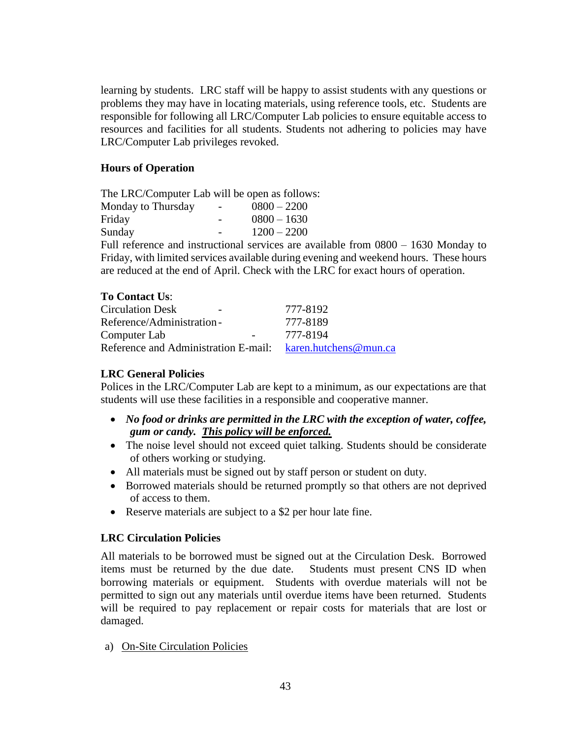learning by students. LRC staff will be happy to assist students with any questions or problems they may have in locating materials, using reference tools, etc. Students are responsible for following all LRC/Computer Lab policies to ensure equitable access to resources and facilities for all students. Students not adhering to policies may have LRC/Computer Lab privileges revoked.

# **Hours of Operation**

The LRC/Computer Lab will be open as follows: Monday to Thursday  $-0800 - 2200$ Friday - 0800 – 1630 Sunday - 1200 – 2200

Full reference and instructional services are available from 0800 – 1630 Monday to Friday, with limited services available during evening and weekend hours. These hours are reduced at the end of April. Check with the LRC for exact hours of operation.

| <b>To Contact Us:</b>                                      |          |
|------------------------------------------------------------|----------|
| <b>Circulation Desk</b><br>$\overline{\phantom{0}}$        | 777-8192 |
| Reference/Administration-                                  | 777-8189 |
| Computer Lab                                               | 777-8194 |
| Reference and Administration E-mail: karen.hutchens@mun.ca |          |

# **LRC General Policies**

Polices in the LRC/Computer Lab are kept to a minimum, as our expectations are that students will use these facilities in a responsible and cooperative manner.

- *No food or drinks are permitted in the LRC with the exception of water, coffee, gum or candy. This policy will be enforced.*
- The noise level should not exceed quiet talking. Students should be considerate of others working or studying.
- All materials must be signed out by staff person or student on duty.
- Borrowed materials should be returned promptly so that others are not deprived of access to them.
- Reserve materials are subject to a \$2 per hour late fine.

# **LRC Circulation Policies**

All materials to be borrowed must be signed out at the Circulation Desk. Borrowed items must be returned by the due date. Students must present CNS ID when borrowing materials or equipment. Students with overdue materials will not be permitted to sign out any materials until overdue items have been returned. Students will be required to pay replacement or repair costs for materials that are lost or damaged.

a) On-Site Circulation Policies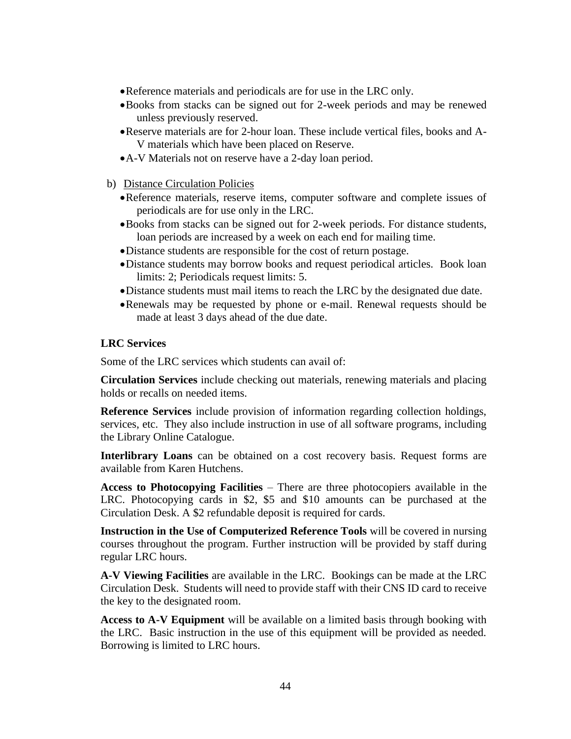- Reference materials and periodicals are for use in the LRC only.
- Books from stacks can be signed out for 2-week periods and may be renewed unless previously reserved.
- Reserve materials are for 2-hour loan. These include vertical files, books and A-V materials which have been placed on Reserve.
- A-V Materials not on reserve have a 2-day loan period.
- b) Distance Circulation Policies
	- Reference materials, reserve items, computer software and complete issues of periodicals are for use only in the LRC.
	- Books from stacks can be signed out for 2-week periods. For distance students, loan periods are increased by a week on each end for mailing time.
	- Distance students are responsible for the cost of return postage.
	- Distance students may borrow books and request periodical articles. Book loan limits: 2; Periodicals request limits: 5.
	- Distance students must mail items to reach the LRC by the designated due date.
	- Renewals may be requested by phone or e-mail. Renewal requests should be made at least 3 days ahead of the due date.

### **LRC Services**

Some of the LRC services which students can avail of:

**Circulation Services** include checking out materials, renewing materials and placing holds or recalls on needed items.

**Reference Services** include provision of information regarding collection holdings, services, etc. They also include instruction in use of all software programs, including the Library Online Catalogue.

**Interlibrary Loans** can be obtained on a cost recovery basis. Request forms are available from Karen Hutchens.

**Access to Photocopying Facilities** – There are three photocopiers available in the LRC. Photocopying cards in \$2, \$5 and \$10 amounts can be purchased at the Circulation Desk. A \$2 refundable deposit is required for cards.

**Instruction in the Use of Computerized Reference Tools** will be covered in nursing courses throughout the program. Further instruction will be provided by staff during regular LRC hours.

**A-V Viewing Facilities** are available in the LRC. Bookings can be made at the LRC Circulation Desk. Students will need to provide staff with their CNS ID card to receive the key to the designated room.

**Access to A-V Equipment** will be available on a limited basis through booking with the LRC. Basic instruction in the use of this equipment will be provided as needed. Borrowing is limited to LRC hours.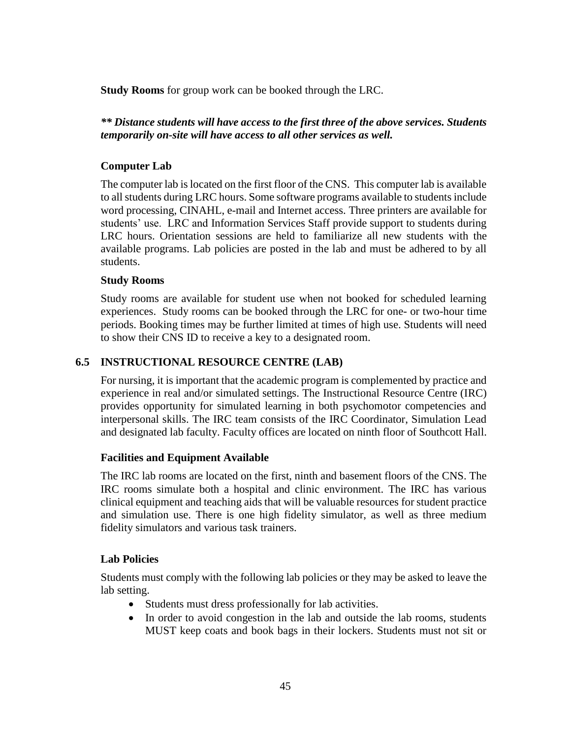**Study Rooms** for group work can be booked through the LRC.

# *\*\* Distance students will have access to the first three of the above services. Students temporarily on-site will have access to all other services as well.*

# **Computer Lab**

The computer lab is located on the first floor of the CNS. This computer lab is available to all students during LRC hours. Some software programs available to students include word processing, CINAHL, e-mail and Internet access. Three printers are available for students' use. LRC and Information Services Staff provide support to students during LRC hours. Orientation sessions are held to familiarize all new students with the available programs. Lab policies are posted in the lab and must be adhered to by all students.

# **Study Rooms**

Study rooms are available for student use when not booked for scheduled learning experiences. Study rooms can be booked through the LRC for one- or two-hour time periods. Booking times may be further limited at times of high use. Students will need to show their CNS ID to receive a key to a designated room.

# **6.5 INSTRUCTIONAL RESOURCE CENTRE (LAB)**

For nursing, it is important that the academic program is complemented by practice and experience in real and/or simulated settings. The Instructional Resource Centre (IRC) provides opportunity for simulated learning in both psychomotor competencies and interpersonal skills. The IRC team consists of the IRC Coordinator, Simulation Lead and designated lab faculty. Faculty offices are located on ninth floor of Southcott Hall.

### **Facilities and Equipment Available**

The IRC lab rooms are located on the first, ninth and basement floors of the CNS. The IRC rooms simulate both a hospital and clinic environment. The IRC has various clinical equipment and teaching aids that will be valuable resources for student practice and simulation use. There is one high fidelity simulator, as well as three medium fidelity simulators and various task trainers.

### **Lab Policies**

Students must comply with the following lab policies or they may be asked to leave the lab setting.

- Students must dress professionally for lab activities.
- In order to avoid congestion in the lab and outside the lab rooms, students MUST keep coats and book bags in their lockers. Students must not sit or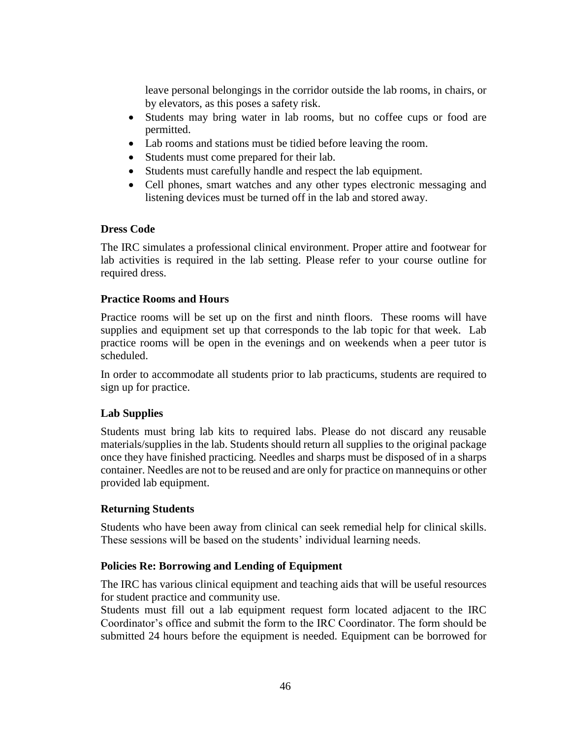leave personal belongings in the corridor outside the lab rooms, in chairs, or by elevators, as this poses a safety risk.

- Students may bring water in lab rooms, but no coffee cups or food are permitted.
- Lab rooms and stations must be tidied before leaving the room.
- Students must come prepared for their lab.
- Students must carefully handle and respect the lab equipment.
- Cell phones, smart watches and any other types electronic messaging and listening devices must be turned off in the lab and stored away.

# **Dress Code**

The IRC simulates a professional clinical environment. Proper attire and footwear for lab activities is required in the lab setting. Please refer to your course outline for required dress.

# **Practice Rooms and Hours**

Practice rooms will be set up on the first and ninth floors. These rooms will have supplies and equipment set up that corresponds to the lab topic for that week. Lab practice rooms will be open in the evenings and on weekends when a peer tutor is scheduled.

In order to accommodate all students prior to lab practicums, students are required to sign up for practice.

# **Lab Supplies**

Students must bring lab kits to required labs. Please do not discard any reusable materials/supplies in the lab. Students should return all supplies to the original package once they have finished practicing. Needles and sharps must be disposed of in a sharps container. Needles are not to be reused and are only for practice on mannequins or other provided lab equipment.

# **Returning Students**

Students who have been away from clinical can seek remedial help for clinical skills. These sessions will be based on the students' individual learning needs.

# **Policies Re: Borrowing and Lending of Equipment**

The IRC has various clinical equipment and teaching aids that will be useful resources for student practice and community use.

Students must fill out a lab equipment request form located adjacent to the IRC Coordinator's office and submit the form to the IRC Coordinator. The form should be submitted 24 hours before the equipment is needed. Equipment can be borrowed for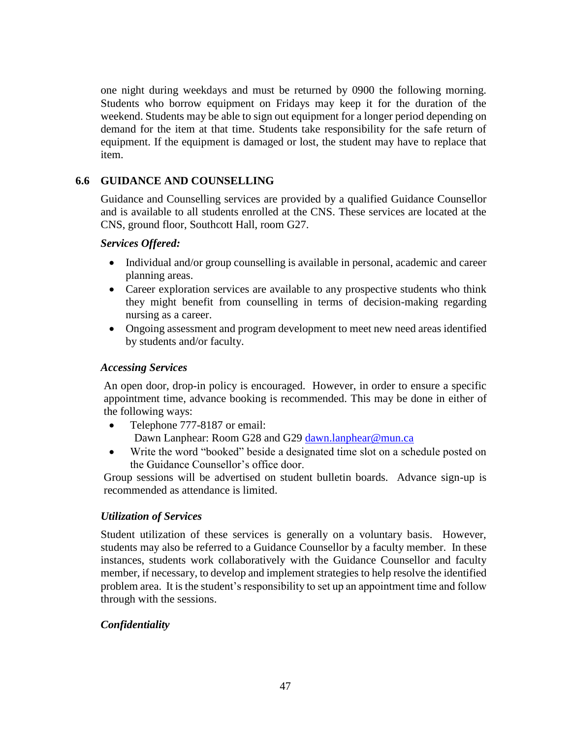one night during weekdays and must be returned by 0900 the following morning. Students who borrow equipment on Fridays may keep it for the duration of the weekend. Students may be able to sign out equipment for a longer period depending on demand for the item at that time. Students take responsibility for the safe return of equipment. If the equipment is damaged or lost, the student may have to replace that item.

# **6.6 GUIDANCE AND COUNSELLING**

Guidance and Counselling services are provided by a qualified Guidance Counsellor and is available to all students enrolled at the CNS. These services are located at the CNS, ground floor, Southcott Hall, room G27.

### *Services Offered:*

- Individual and/or group counselling is available in personal, academic and career planning areas.
- Career exploration services are available to any prospective students who think they might benefit from counselling in terms of decision-making regarding nursing as a career.
- Ongoing assessment and program development to meet new need areas identified by students and/or faculty.

# *Accessing Services*

An open door, drop-in policy is encouraged. However, in order to ensure a specific appointment time, advance booking is recommended. This may be done in either of the following ways:

- Telephone 777-8187 or email: Dawn Lanphear: Room G28 and G29 [dawn.lanphear@mun.ca](mailto:dawn.lanphear@mun.ca)
- Write the word "booked" beside a designated time slot on a schedule posted on the Guidance Counsellor's office door.

Group sessions will be advertised on student bulletin boards. Advance sign-up is recommended as attendance is limited.

# *Utilization of Services*

Student utilization of these services is generally on a voluntary basis. However, students may also be referred to a Guidance Counsellor by a faculty member. In these instances, students work collaboratively with the Guidance Counsellor and faculty member, if necessary, to develop and implement strategies to help resolve the identified problem area. It is the student's responsibility to set up an appointment time and follow through with the sessions.

# *Confidentiality*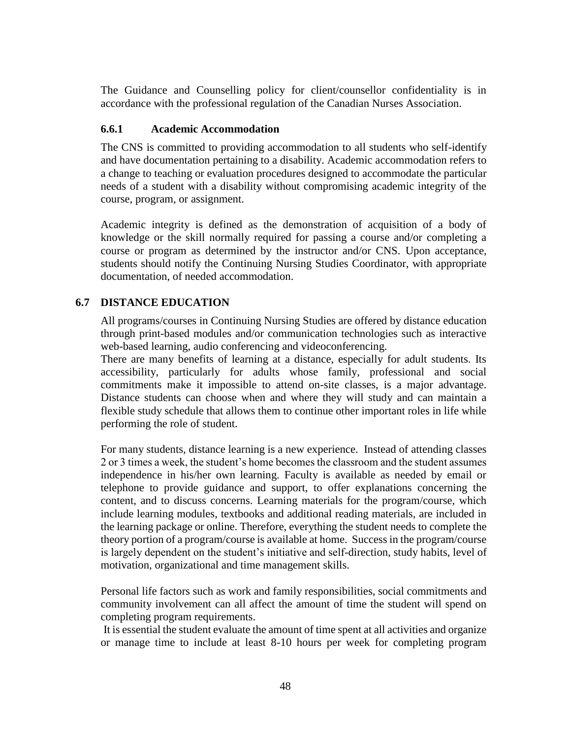The Guidance and Counselling policy for client/counsellor confidentiality is in accordance with the professional regulation of the Canadian Nurses Association.

### **6.6.1 Academic Accommodation**

The CNS is committed to providing accommodation to all students who self-identify and have documentation pertaining to a disability. Academic accommodation refers to a change to teaching or evaluation procedures designed to accommodate the particular needs of a student with a disability without compromising academic integrity of the course, program, or assignment.

Academic integrity is defined as the demonstration of acquisition of a body of knowledge or the skill normally required for passing a course and/or completing a course or program as determined by the instructor and/or CNS. Upon acceptance, students should notify the Continuing Nursing Studies Coordinator, with appropriate documentation, of needed accommodation.

# **6.7 DISTANCE EDUCATION**

All programs/courses in Continuing Nursing Studies are offered by distance education through print-based modules and/or communication technologies such as interactive web-based learning, audio conferencing and videoconferencing.

There are many benefits of learning at a distance, especially for adult students. Its accessibility, particularly for adults whose family, professional and social commitments make it impossible to attend on-site classes, is a major advantage. Distance students can choose when and where they will study and can maintain a flexible study schedule that allows them to continue other important roles in life while performing the role of student.

For many students, distance learning is a new experience. Instead of attending classes 2 or 3 times a week, the student's home becomes the classroom and the student assumes independence in his/her own learning. Faculty is available as needed by email or telephone to provide guidance and support, to offer explanations concerning the content, and to discuss concerns. Learning materials for the program/course, which include learning modules, textbooks and additional reading materials, are included in the learning package or online. Therefore, everything the student needs to complete the theory portion of a program/course is available at home. Success in the program/course is largely dependent on the student's initiative and self-direction, study habits, level of motivation, organizational and time management skills.

Personal life factors such as work and family responsibilities, social commitments and community involvement can all affect the amount of time the student will spend on completing program requirements.

It is essential the student evaluate the amount of time spent at all activities and organize or manage time to include at least 8-10 hours per week for completing program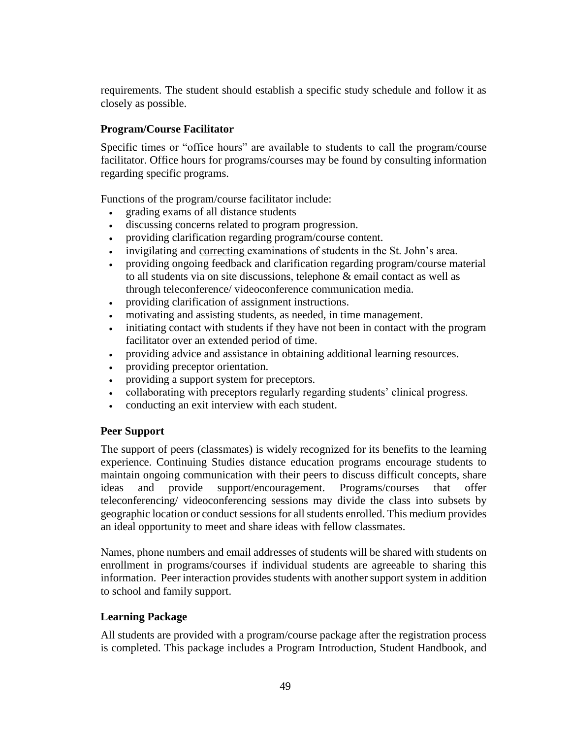requirements. The student should establish a specific study schedule and follow it as closely as possible.

# **Program/Course Facilitator**

Specific times or "office hours" are available to students to call the program/course facilitator. Office hours for programs/courses may be found by consulting information regarding specific programs.

Functions of the program/course facilitator include:

- grading exams of all distance students
- discussing concerns related to program progression.
- providing clarification regarding program/course content.
- invigilating and correcting examinations of students in the St. John's area.
- providing ongoing feedback and clarification regarding program/course material to all students via on site discussions, telephone & email contact as well as through teleconference/ videoconference communication media.
- providing clarification of assignment instructions.
- motivating and assisting students, as needed, in time management.
- initiating contact with students if they have not been in contact with the program facilitator over an extended period of time.
- providing advice and assistance in obtaining additional learning resources.
- providing preceptor orientation.
- providing a support system for preceptors.
- collaborating with preceptors regularly regarding students' clinical progress.
- conducting an exit interview with each student.

# **Peer Support**

The support of peers (classmates) is widely recognized for its benefits to the learning experience. Continuing Studies distance education programs encourage students to maintain ongoing communication with their peers to discuss difficult concepts, share ideas and provide support/encouragement. Programs/courses that offer teleconferencing/ videoconferencing sessions may divide the class into subsets by geographic location or conduct sessions for all students enrolled. This medium provides an ideal opportunity to meet and share ideas with fellow classmates.

Names, phone numbers and email addresses of students will be shared with students on enrollment in programs/courses if individual students are agreeable to sharing this information. Peer interaction provides students with another support system in addition to school and family support.

### **Learning Package**

All students are provided with a program/course package after the registration process is completed. This package includes a Program Introduction, Student Handbook, and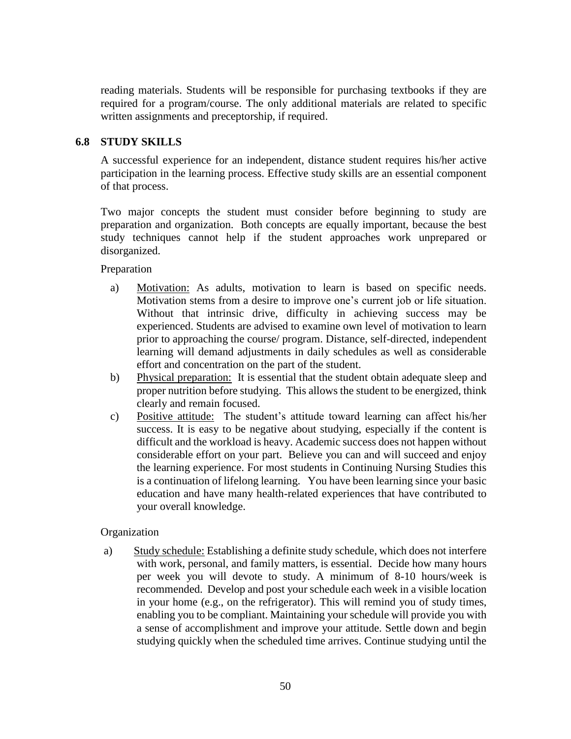reading materials. Students will be responsible for purchasing textbooks if they are required for a program/course. The only additional materials are related to specific written assignments and preceptorship, if required.

# **6.8 STUDY SKILLS**

A successful experience for an independent, distance student requires his/her active participation in the learning process. Effective study skills are an essential component of that process.

Two major concepts the student must consider before beginning to study are preparation and organization. Both concepts are equally important, because the best study techniques cannot help if the student approaches work unprepared or disorganized.

Preparation

- a) Motivation: As adults, motivation to learn is based on specific needs. Motivation stems from a desire to improve one's current job or life situation. Without that intrinsic drive, difficulty in achieving success may be experienced. Students are advised to examine own level of motivation to learn prior to approaching the course/ program. Distance, self-directed, independent learning will demand adjustments in daily schedules as well as considerable effort and concentration on the part of the student.
- b) Physical preparation: It is essential that the student obtain adequate sleep and proper nutrition before studying. This allows the student to be energized, think clearly and remain focused.
- c) Positive attitude: The student's attitude toward learning can affect his/her success. It is easy to be negative about studying, especially if the content is difficult and the workload is heavy. Academic success does not happen without considerable effort on your part. Believe you can and will succeed and enjoy the learning experience. For most students in Continuing Nursing Studies this is a continuation of lifelong learning. You have been learning since your basic education and have many health-related experiences that have contributed to your overall knowledge.

### Organization

a) Study schedule: Establishing a definite study schedule, which does not interfere with work, personal, and family matters, is essential. Decide how many hours per week you will devote to study. A minimum of 8-10 hours/week is recommended. Develop and post your schedule each week in a visible location in your home (e.g., on the refrigerator). This will remind you of study times, enabling you to be compliant. Maintaining your schedule will provide you with a sense of accomplishment and improve your attitude. Settle down and begin studying quickly when the scheduled time arrives. Continue studying until the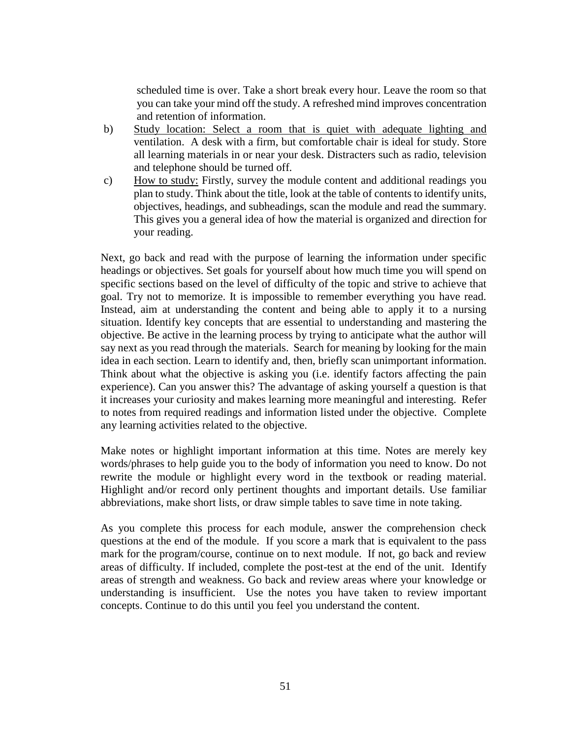scheduled time is over. Take a short break every hour. Leave the room so that you can take your mind off the study. A refreshed mind improves concentration and retention of information.

- b) Study location: Select a room that is quiet with adequate lighting and ventilation. A desk with a firm, but comfortable chair is ideal for study. Store all learning materials in or near your desk. Distracters such as radio, television and telephone should be turned off.
- c) How to study: Firstly, survey the module content and additional readings you plan to study. Think about the title, look at the table of contents to identify units, objectives, headings, and subheadings, scan the module and read the summary. This gives you a general idea of how the material is organized and direction for your reading.

Next, go back and read with the purpose of learning the information under specific headings or objectives. Set goals for yourself about how much time you will spend on specific sections based on the level of difficulty of the topic and strive to achieve that goal. Try not to memorize. It is impossible to remember everything you have read. Instead, aim at understanding the content and being able to apply it to a nursing situation. Identify key concepts that are essential to understanding and mastering the objective. Be active in the learning process by trying to anticipate what the author will say next as you read through the materials. Search for meaning by looking for the main idea in each section. Learn to identify and, then, briefly scan unimportant information. Think about what the objective is asking you (i.e. identify factors affecting the pain experience). Can you answer this? The advantage of asking yourself a question is that it increases your curiosity and makes learning more meaningful and interesting. Refer to notes from required readings and information listed under the objective. Complete any learning activities related to the objective.

Make notes or highlight important information at this time. Notes are merely key words/phrases to help guide you to the body of information you need to know. Do not rewrite the module or highlight every word in the textbook or reading material. Highlight and/or record only pertinent thoughts and important details. Use familiar abbreviations, make short lists, or draw simple tables to save time in note taking.

As you complete this process for each module, answer the comprehension check questions at the end of the module. If you score a mark that is equivalent to the pass mark for the program/course, continue on to next module. If not, go back and review areas of difficulty. If included, complete the post-test at the end of the unit. Identify areas of strength and weakness. Go back and review areas where your knowledge or understanding is insufficient. Use the notes you have taken to review important concepts. Continue to do this until you feel you understand the content.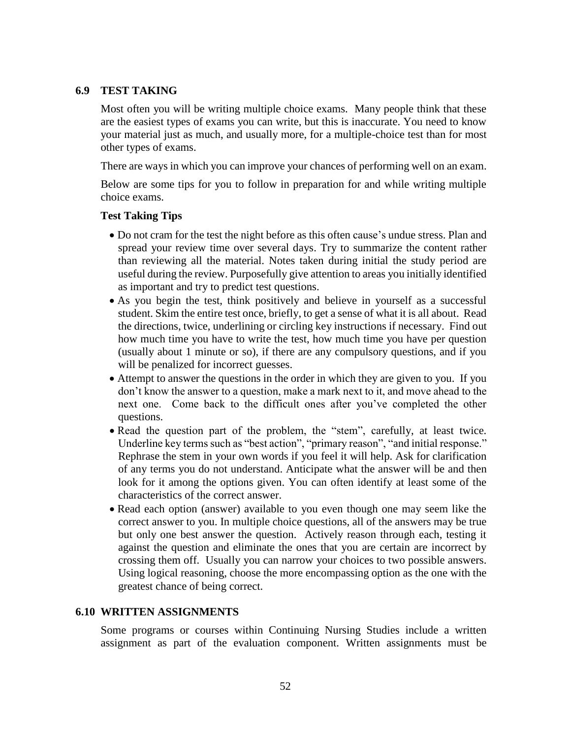### **6.9 TEST TAKING**

Most often you will be writing multiple choice exams. Many people think that these are the easiest types of exams you can write, but this is inaccurate. You need to know your material just as much, and usually more, for a multiple-choice test than for most other types of exams.

There are ways in which you can improve your chances of performing well on an exam.

Below are some tips for you to follow in preparation for and while writing multiple choice exams.

### **Test Taking Tips**

- Do not cram for the test the night before as this often cause's undue stress. Plan and spread your review time over several days. Try to summarize the content rather than reviewing all the material. Notes taken during initial the study period are useful during the review. Purposefully give attention to areas you initially identified as important and try to predict test questions.
- As you begin the test, think positively and believe in yourself as a successful student. Skim the entire test once, briefly, to get a sense of what it is all about. Read the directions, twice, underlining or circling key instructions if necessary. Find out how much time you have to write the test, how much time you have per question (usually about 1 minute or so), if there are any compulsory questions, and if you will be penalized for incorrect guesses.
- Attempt to answer the questions in the order in which they are given to you. If you don't know the answer to a question, make a mark next to it, and move ahead to the next one. Come back to the difficult ones after you've completed the other questions.
- Read the question part of the problem, the "stem", carefully, at least twice. Underline key terms such as "best action", "primary reason", "and initial response." Rephrase the stem in your own words if you feel it will help. Ask for clarification of any terms you do not understand. Anticipate what the answer will be and then look for it among the options given. You can often identify at least some of the characteristics of the correct answer.
- Read each option (answer) available to you even though one may seem like the correct answer to you. In multiple choice questions, all of the answers may be true but only one best answer the question. Actively reason through each, testing it against the question and eliminate the ones that you are certain are incorrect by crossing them off. Usually you can narrow your choices to two possible answers. Using logical reasoning, choose the more encompassing option as the one with the greatest chance of being correct.

### **6.10 WRITTEN ASSIGNMENTS**

Some programs or courses within Continuing Nursing Studies include a written assignment as part of the evaluation component. Written assignments must be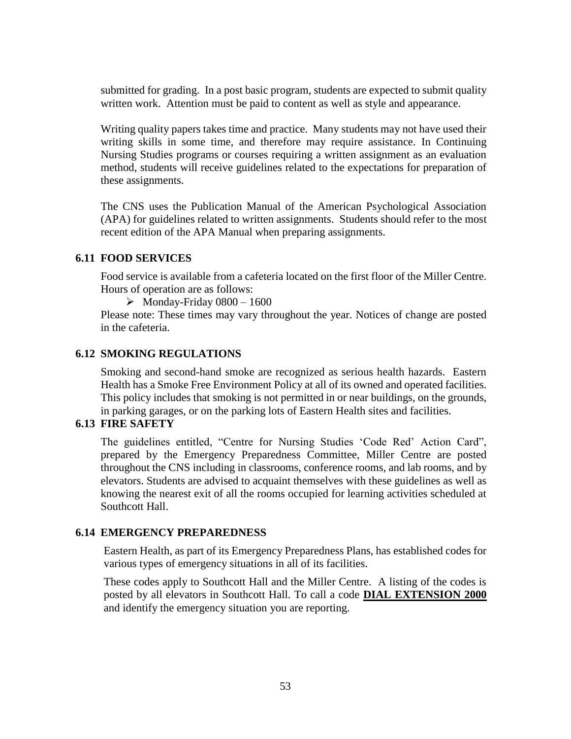submitted for grading. In a post basic program, students are expected to submit quality written work. Attention must be paid to content as well as style and appearance.

Writing quality papers takes time and practice. Many students may not have used their writing skills in some time, and therefore may require assistance. In Continuing Nursing Studies programs or courses requiring a written assignment as an evaluation method, students will receive guidelines related to the expectations for preparation of these assignments.

The CNS uses the Publication Manual of the American Psychological Association (APA) for guidelines related to written assignments. Students should refer to the most recent edition of the APA Manual when preparing assignments.

### **6.11 FOOD SERVICES**

Food service is available from a cafeteria located on the first floor of the Miller Centre. Hours of operation are as follows:

 $\triangleright$  Monday-Friday 0800 – 1600

Please note: These times may vary throughout the year. Notices of change are posted in the cafeteria.

### **6.12 SMOKING REGULATIONS**

Smoking and second-hand smoke are recognized as serious health hazards. Eastern Health has a Smoke Free Environment Policy at all of its owned and operated facilities. This policy includes that smoking is not permitted in or near buildings, on the grounds, in parking garages, or on the parking lots of Eastern Health sites and facilities.

# **6.13 FIRE SAFETY**

The guidelines entitled, "Centre for Nursing Studies 'Code Red' Action Card", prepared by the Emergency Preparedness Committee, Miller Centre are posted throughout the CNS including in classrooms, conference rooms, and lab rooms, and by elevators. Students are advised to acquaint themselves with these guidelines as well as knowing the nearest exit of all the rooms occupied for learning activities scheduled at Southcott Hall.

### **6.14 EMERGENCY PREPAREDNESS**

Eastern Health, as part of its Emergency Preparedness Plans, has established codes for various types of emergency situations in all of its facilities.

These codes apply to Southcott Hall and the Miller Centre. A listing of the codes is posted by all elevators in Southcott Hall. To call a code **DIAL EXTENSION 2000** and identify the emergency situation you are reporting.